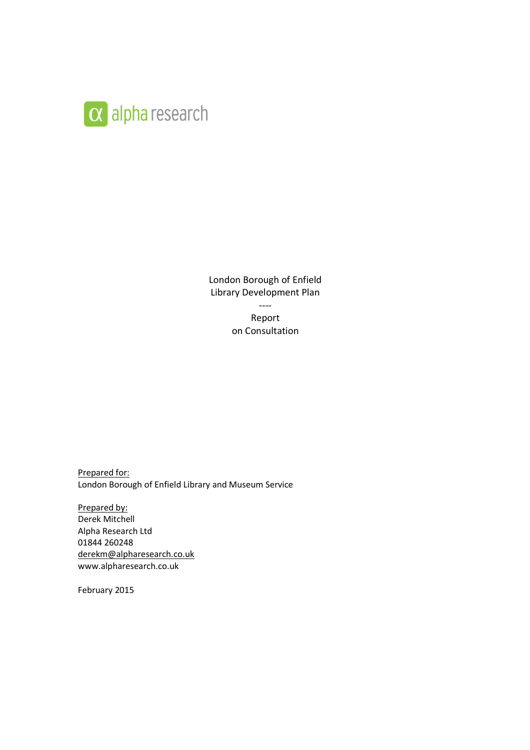

London Borough of Enfield Library Development Plan

> ---- Report on Consultation

Prepared for: London Borough of Enfield Library and Museum Service

Prepared by: Derek Mitchell Alpha Research Ltd 01844 260248 derekm@alpharesearch.co.uk www.alpharesearch.co.uk

February 2015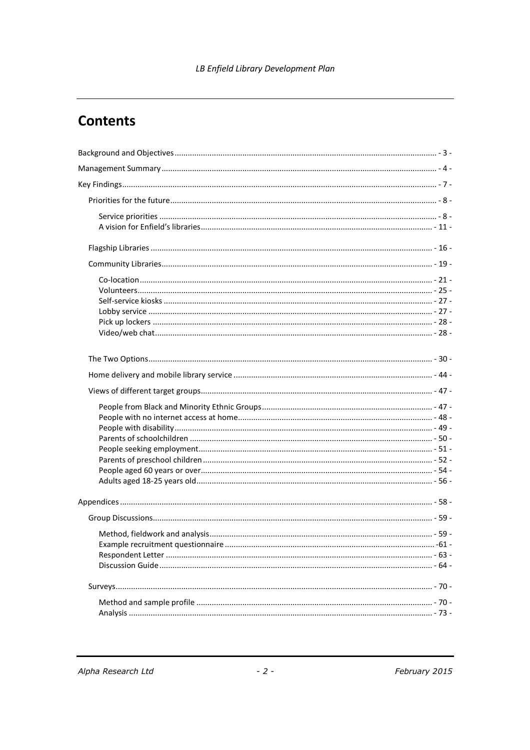# **Contents**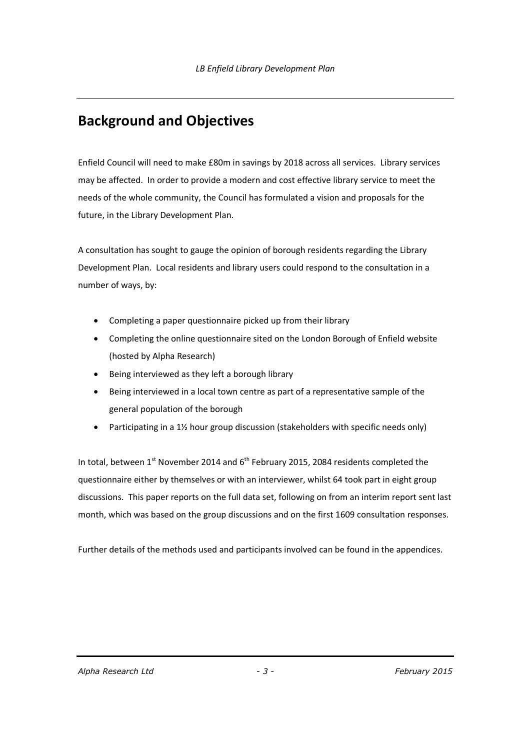# **Background and Objectives**

Enfield Council will need to make £80m in savings by 2018 across all services. Library services may be affected. In order to provide a modern and cost effective library service to meet the needs of the whole community, the Council has formulated a vision and proposals for the future, in the Library Development Plan.

A consultation has sought to gauge the opinion of borough residents regarding the Library Development Plan. Local residents and library users could respond to the consultation in a number of ways, by:

- Completing a paper questionnaire picked up from their library
- Completing the online questionnaire sited on the London Borough of Enfield website (hosted by Alpha Research)
- Being interviewed as they left a borough library
- Being interviewed in a local town centre as part of a representative sample of the general population of the borough
- Participating in a 1½ hour group discussion (stakeholders with specific needs only)

In total, between  $1<sup>st</sup>$  November 2014 and  $6<sup>th</sup>$  February 2015, 2084 residents completed the questionnaire either by themselves or with an interviewer, whilst 64 took part in eight group discussions. This paper reports on the full data set, following on from an interim report sent last month, which was based on the group discussions and on the first 1609 consultation responses.

Further details of the methods used and participants involved can be found in the appendices.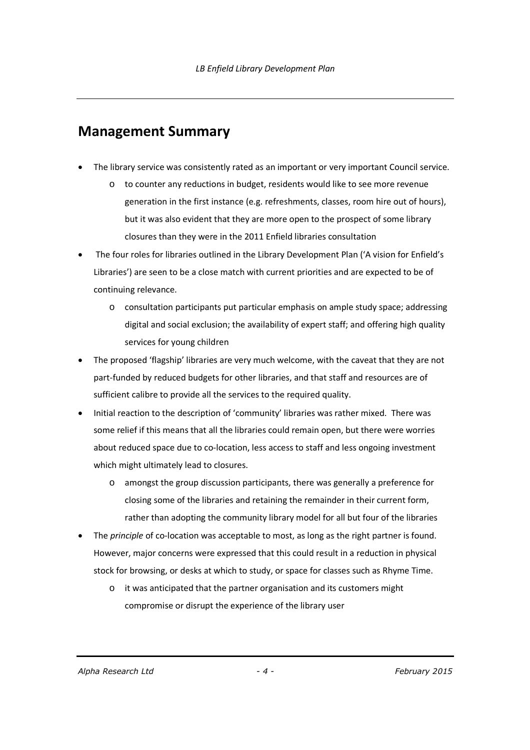## **Management Summary**

- The library service was consistently rated as an important or very important Council service.
	- o to counter any reductions in budget, residents would like to see more revenue generation in the first instance (e.g. refreshments, classes, room hire out of hours), but it was also evident that they are more open to the prospect of some library closures than they were in the 2011 Enfield libraries consultation
- The four roles for libraries outlined in the Library Development Plan ('A vision for Enfield's Libraries') are seen to be a close match with current priorities and are expected to be of continuing relevance.
	- o consultation participants put particular emphasis on ample study space; addressing digital and social exclusion; the availability of expert staff; and offering high quality services for young children
- The proposed 'flagship' libraries are very much welcome, with the caveat that they are not part-funded by reduced budgets for other libraries, and that staff and resources are of sufficient calibre to provide all the services to the required quality.
- Initial reaction to the description of 'community' libraries was rather mixed. There was some relief if this means that all the libraries could remain open, but there were worries about reduced space due to co-location, less access to staff and less ongoing investment which might ultimately lead to closures.
	- o amongst the group discussion participants, there was generally a preference for closing some of the libraries and retaining the remainder in their current form, rather than adopting the community library model for all but four of the libraries
- The *principle* of co-location was acceptable to most, as long as the right partner is found. However, major concerns were expressed that this could result in a reduction in physical stock for browsing, or desks at which to study, or space for classes such as Rhyme Time.
	- o it was anticipated that the partner organisation and its customers might compromise or disrupt the experience of the library user

*Alpha Research Ltd - 4 - February 2015*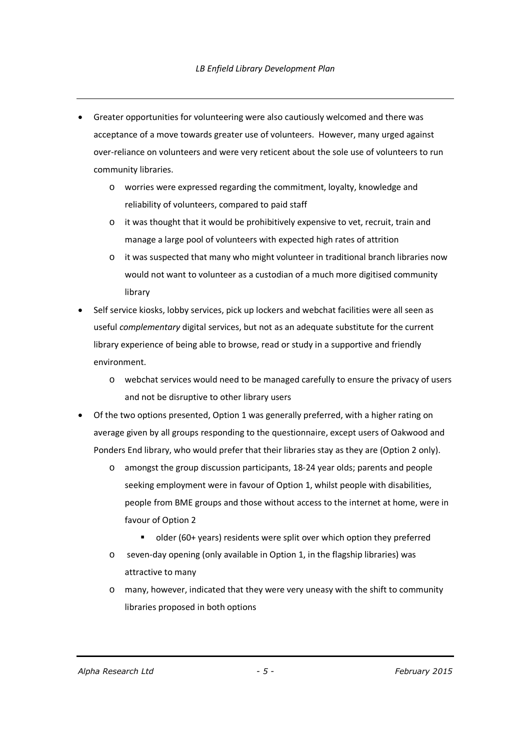- Greater opportunities for volunteering were also cautiously welcomed and there was acceptance of a move towards greater use of volunteers. However, many urged against over-reliance on volunteers and were very reticent about the sole use of volunteers to run community libraries.
	- o worries were expressed regarding the commitment, loyalty, knowledge and reliability of volunteers, compared to paid staff
	- $\circ$  it was thought that it would be prohibitively expensive to vet, recruit, train and manage a large pool of volunteers with expected high rates of attrition
	- o it was suspected that many who might volunteer in traditional branch libraries now would not want to volunteer as a custodian of a much more digitised community library
- Self service kiosks, lobby services, pick up lockers and webchat facilities were all seen as useful *complementary* digital services, but not as an adequate substitute for the current library experience of being able to browse, read or study in a supportive and friendly environment.
	- o webchat services would need to be managed carefully to ensure the privacy of users and not be disruptive to other library users
- Of the two options presented, Option 1 was generally preferred, with a higher rating on average given by all groups responding to the questionnaire, except users of Oakwood and Ponders End library, who would prefer that their libraries stay as they are (Option 2 only).
	- o amongst the group discussion participants, 18-24 year olds; parents and people seeking employment were in favour of Option 1, whilst people with disabilities, people from BME groups and those without access to the internet at home, were in favour of Option 2
		- older (60+ years) residents were split over which option they preferred
	- o seven-day opening (only available in Option 1, in the flagship libraries) was attractive to many
	- o many, however, indicated that they were very uneasy with the shift to community libraries proposed in both options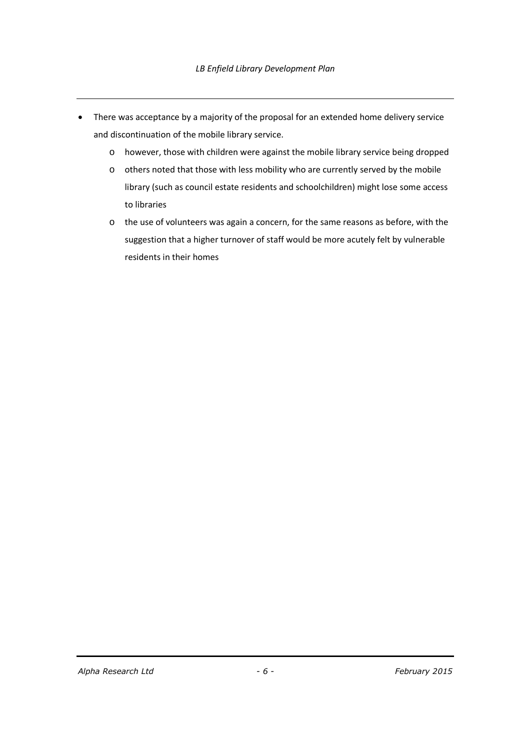- There was acceptance by a majority of the proposal for an extended home delivery service and discontinuation of the mobile library service.
	- o however, those with children were against the mobile library service being dropped
	- o others noted that those with less mobility who are currently served by the mobile library (such as council estate residents and schoolchildren) might lose some access to libraries
	- o the use of volunteers was again a concern, for the same reasons as before, with the suggestion that a higher turnover of staff would be more acutely felt by vulnerable residents in their homes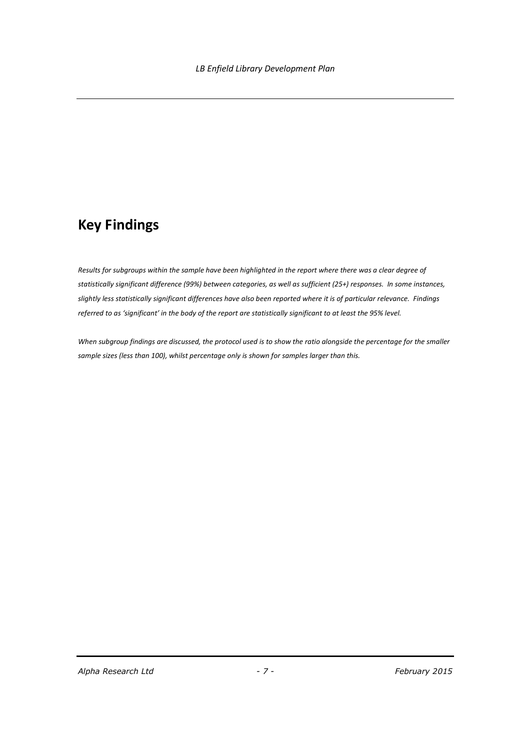## **Key Findings**

*Results for subgroups within the sample have been highlighted in the report where there was a clear degree of statistically significant difference (99%) between categories, as well as sufficient (25+) responses. In some instances, slightly less statistically significant differences have also been reported where it is of particular relevance. Findings referred to as 'significant' in the body of the report are statistically significant to at least the 95% level.*

*When subgroup findings are discussed, the protocol used is to show the ratio alongside the percentage for the smaller sample sizes (less than 100), whilst percentage only is shown for samples larger than this.*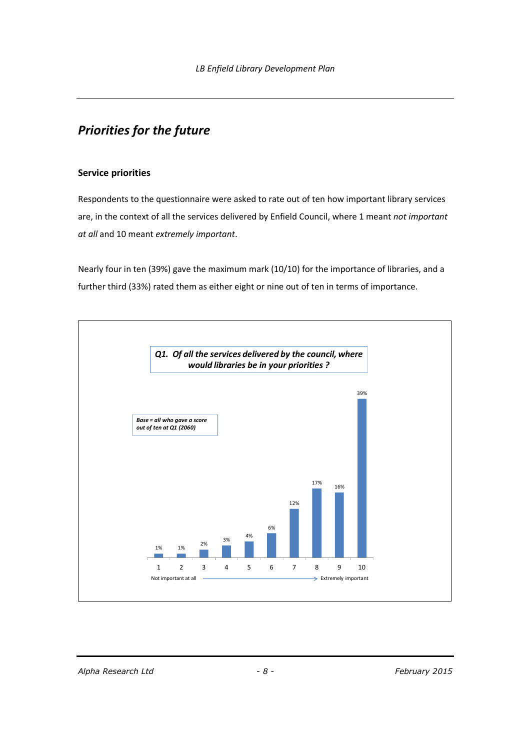## *Priorities for the future*

#### **Service priorities**

Respondents to the questionnaire were asked to rate out of ten how important library services are, in the context of all the services delivered by Enfield Council, where 1 meant *not important at all* and 10 meant *extremely important*.

Nearly four in ten (39%) gave the maximum mark (10/10) for the importance of libraries, and a further third (33%) rated them as either eight or nine out of ten in terms of importance.

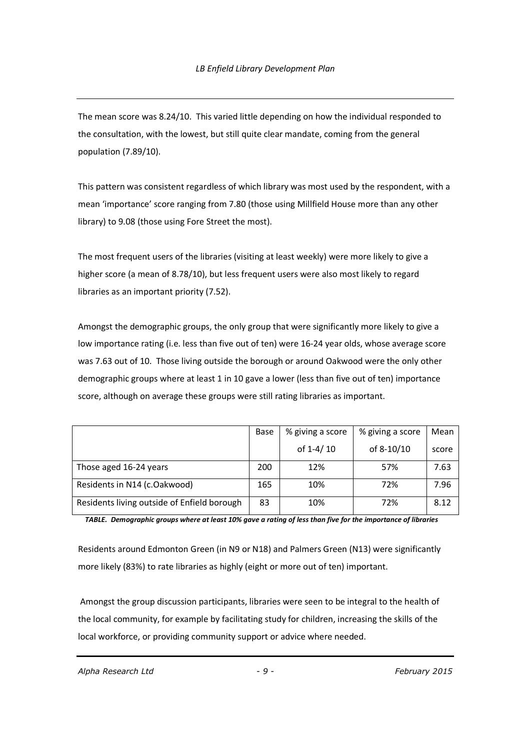The mean score was 8.24/10. This varied little depending on how the individual responded to the consultation, with the lowest, but still quite clear mandate, coming from the general population (7.89/10).

This pattern was consistent regardless of which library was most used by the respondent, with a mean 'importance' score ranging from 7.80 (those using Millfield House more than any other library) to 9.08 (those using Fore Street the most).

The most frequent users of the libraries (visiting at least weekly) were more likely to give a higher score (a mean of 8.78/10), but less frequent users were also most likely to regard libraries as an important priority (7.52).

Amongst the demographic groups, the only group that were significantly more likely to give a low importance rating (i.e. less than five out of ten) were 16-24 year olds, whose average score was 7.63 out of 10. Those living outside the borough or around Oakwood were the only other demographic groups where at least 1 in 10 gave a lower (less than five out of ten) importance score, although on average these groups were still rating libraries as important.

|                                             | Base | % giving a score | % giving a score | Mean  |
|---------------------------------------------|------|------------------|------------------|-------|
|                                             |      |                  |                  |       |
|                                             |      | of 1-4/10        | of 8-10/10       | score |
| Those aged 16-24 years                      | 200  | 12%              | 57%              | 7.63  |
| Residents in N14 (c.Oakwood)                | 165  | 10%              | 72%              | 7.96  |
| Residents living outside of Enfield borough | 83   | 10%              | 72%              | 8.12  |

*TABLE. Demographic groups where at least 10% gave a rating of less than five for the importance of libraries*

Residents around Edmonton Green (in N9 or N18) and Palmers Green (N13) were significantly more likely (83%) to rate libraries as highly (eight or more out of ten) important.

Amongst the group discussion participants, libraries were seen to be integral to the health of the local community, for example by facilitating study for children, increasing the skills of the local workforce, or providing community support or advice where needed.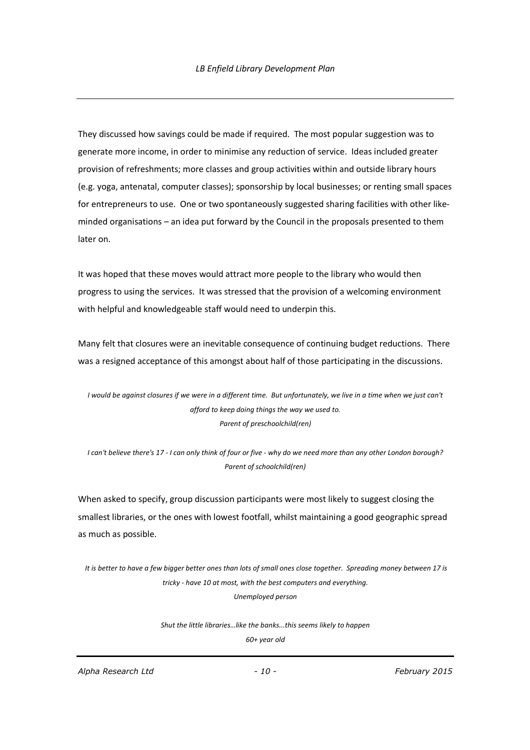They discussed how savings could be made if required. The most popular suggestion was to generate more income, in order to minimise any reduction of service. Ideas included greater provision of refreshments; more classes and group activities within and outside library hours (e.g. yoga, antenatal, computer classes); sponsorship by local businesses; or renting small spaces for entrepreneurs to use. One or two spontaneously suggested sharing facilities with other likeminded organisations – an idea put forward by the Council in the proposals presented to them later on.

It was hoped that these moves would attract more people to the library who would then progress to using the services. It was stressed that the provision of a welcoming environment with helpful and knowledgeable staff would need to underpin this.

Many felt that closures were an inevitable consequence of continuing budget reductions. There was a resigned acceptance of this amongst about half of those participating in the discussions.

*I would be against closures if we were in a different time. But unfortunately, we live in a time when we just can't afford to keep doing things the way we used to. Parent of preschoolchild(ren)*

*I can't believe there's 17 - I can only think of four or five - why do we need more than any other London borough? Parent of schoolchild(ren)*

When asked to specify, group discussion participants were most likely to suggest closing the smallest libraries, or the ones with lowest footfall, whilst maintaining a good geographic spread as much as possible.

*It is better to have a few bigger better ones than lots of small ones close together. Spreading money between 17 is tricky - have 10 at most, with the best computers and everything. Unemployed person*

*Shut the little libraries…like the banks...this seems likely to happen*

*60+ year old*

*Alpha Research Ltd - 10 - February 2015*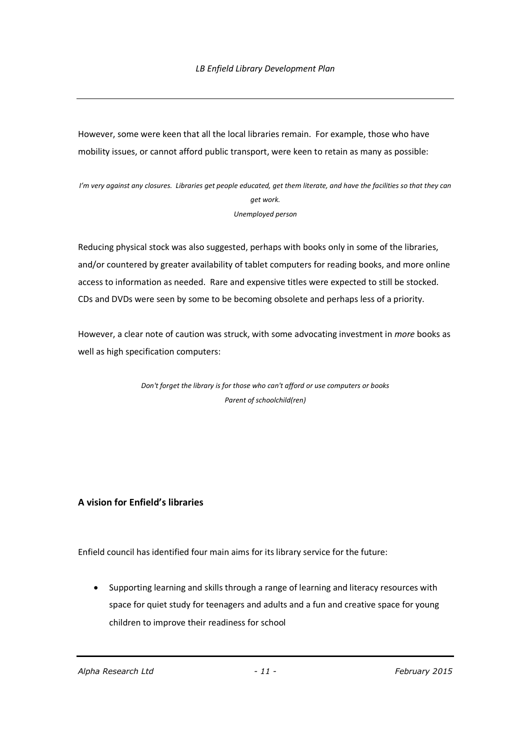However, some were keen that all the local libraries remain. For example, those who have mobility issues, or cannot afford public transport, were keen to retain as many as possible:

*I'm very against any closures. Libraries get people educated, get them literate, and have the facilities so that they can get work.*

*Unemployed person*

Reducing physical stock was also suggested, perhaps with books only in some of the libraries, and/or countered by greater availability of tablet computers for reading books, and more online access to information as needed. Rare and expensive titles were expected to still be stocked. CDs and DVDs were seen by some to be becoming obsolete and perhaps less of a priority.

However, a clear note of caution was struck, with some advocating investment in *more* books as well as high specification computers:

> *Don't forget the library is for those who can't afford or use computers or books Parent of schoolchild(ren)*

#### **A vision for Enfield's libraries**

Enfield council has identified four main aims for its library service for the future:

 Supporting learning and skills through a range of learning and literacy resources with space for quiet study for teenagers and adults and a fun and creative space for young children to improve their readiness for school

*Alpha Research Ltd - 11 - February 2015*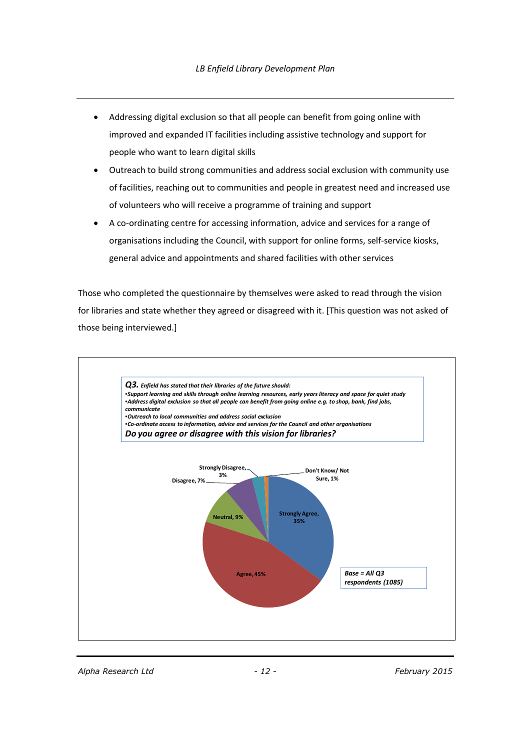- Addressing digital exclusion so that all people can benefit from going online with improved and expanded IT facilities including assistive technology and support for people who want to learn digital skills
- Outreach to build strong communities and address social exclusion with community use of facilities, reaching out to communities and people in greatest need and increased use of volunteers who will receive a programme of training and support
- A co-ordinating centre for accessing information, advice and services for a range of organisations including the Council, with support for online forms, self-service kiosks, general advice and appointments and shared facilities with other services

Those who completed the questionnaire by themselves were asked to read through the vision for libraries and state whether they agreed or disagreed with it. [This question was not asked of those being interviewed.]



*Alpha Research Ltd - 12 - February 2015*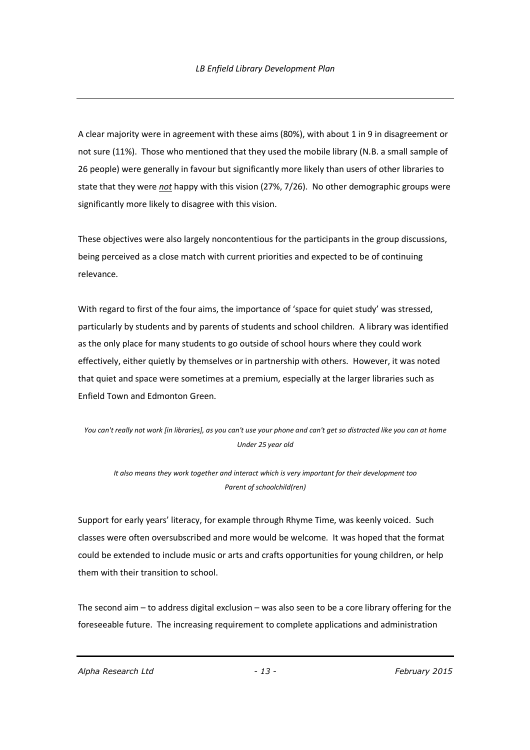A clear majority were in agreement with these aims (80%), with about 1 in 9 in disagreement or not sure (11%). Those who mentioned that they used the mobile library (N.B. a small sample of 26 people) were generally in favour but significantly more likely than users of other libraries to state that they were *not* happy with this vision (27%, 7/26). No other demographic groups were significantly more likely to disagree with this vision.

These objectives were also largely noncontentious for the participants in the group discussions, being perceived as a close match with current priorities and expected to be of continuing relevance.

With regard to first of the four aims, the importance of 'space for quiet study' was stressed, particularly by students and by parents of students and school children. A library was identified as the only place for many students to go outside of school hours where they could work effectively, either quietly by themselves or in partnership with others. However, it was noted that quiet and space were sometimes at a premium, especially at the larger libraries such as Enfield Town and Edmonton Green.

*You can't really not work [in libraries], as you can't use your phone and can't get so distracted like you can at home Under 25 year old*

*It also means they work together and interact which is very important for their development too Parent of schoolchild(ren)*

Support for early years' literacy, for example through Rhyme Time, was keenly voiced. Such classes were often oversubscribed and more would be welcome. It was hoped that the format could be extended to include music or arts and crafts opportunities for young children, or help them with their transition to school.

The second aim – to address digital exclusion – was also seen to be a core library offering for the foreseeable future. The increasing requirement to complete applications and administration

*Alpha Research Ltd - 13 - February 2015*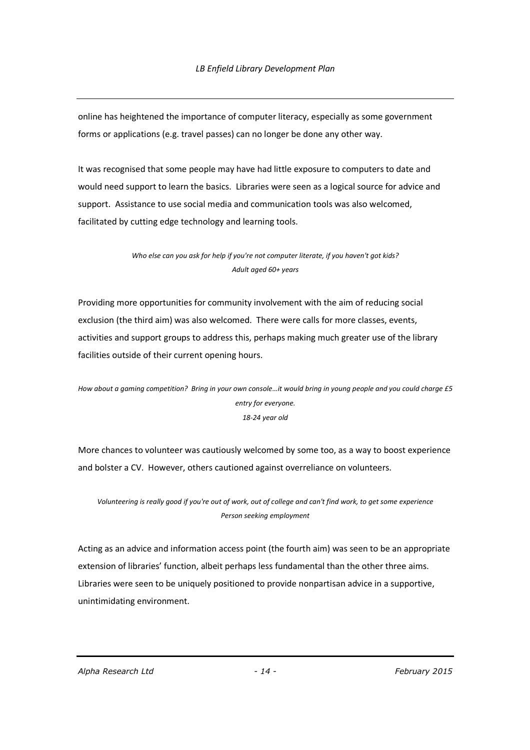online has heightened the importance of computer literacy, especially as some government forms or applications (e.g. travel passes) can no longer be done any other way.

It was recognised that some people may have had little exposure to computers to date and would need support to learn the basics. Libraries were seen as a logical source for advice and support. Assistance to use social media and communication tools was also welcomed, facilitated by cutting edge technology and learning tools.

#### *Who else can you ask for help if you're not computer literate, if you haven't got kids? Adult aged 60+ years*

Providing more opportunities for community involvement with the aim of reducing social exclusion (the third aim) was also welcomed. There were calls for more classes, events, activities and support groups to address this, perhaps making much greater use of the library facilities outside of their current opening hours.

#### *How about a gaming competition? Bring in your own console…it would bring in young people and you could charge £5 entry for everyone. 18-24 year old*

More chances to volunteer was cautiously welcomed by some too, as a way to boost experience and bolster a CV. However, others cautioned against overreliance on volunteers.

*Volunteering is really good if you're out of work, out of college and can't find work, to get some experience Person seeking employment*

Acting as an advice and information access point (the fourth aim) was seen to be an appropriate extension of libraries' function, albeit perhaps less fundamental than the other three aims. Libraries were seen to be uniquely positioned to provide nonpartisan advice in a supportive, unintimidating environment.

*Alpha Research Ltd - 14 - February 2015*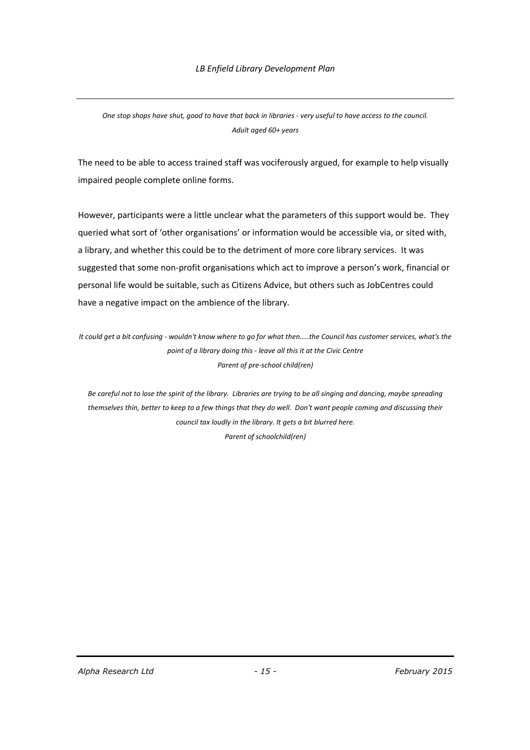*One stop shops have shut, good to have that back in libraries - very useful to have access to the council. Adult aged 60+ years*

The need to be able to access trained staff was vociferously argued, for example to help visually impaired people complete online forms.

However, participants were a little unclear what the parameters of this support would be. They queried what sort of 'other organisations' or information would be accessible via, or sited with, a library, and whether this could be to the detriment of more core library services. It was suggested that some non-profit organisations which act to improve a person's work, financial or personal life would be suitable, such as Citizens Advice, but others such as JobCentres could have a negative impact on the ambience of the library.

*It could get a bit confusing - wouldn't know where to go for what then…..the Council has customer services, what's the point of a library doing this - leave all this it at the Civic Centre Parent of pre-school child(ren)*

*Be careful not to lose the spirit of the library. Libraries are trying to be all singing and dancing, maybe spreading themselves thin, better to keep to a few things that they do well. Don't want people coming and discussing their council tax loudly in the library. It gets a bit blurred here. Parent of schoolchild(ren)*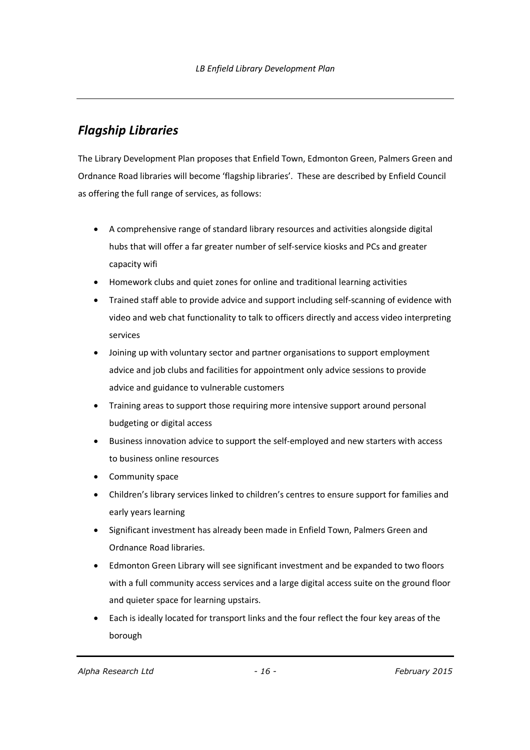## *Flagship Libraries*

The Library Development Plan proposes that Enfield Town, Edmonton Green, Palmers Green and Ordnance Road libraries will become 'flagship libraries'. These are described by Enfield Council as offering the full range of services, as follows:

- A comprehensive range of standard library resources and activities alongside digital hubs that will offer a far greater number of self-service kiosks and PCs and greater capacity wifi
- Homework clubs and quiet zones for online and traditional learning activities
- Trained staff able to provide advice and support including self-scanning of evidence with video and web chat functionality to talk to officers directly and access video interpreting services
- Joining up with voluntary sector and partner organisations to support employment advice and job clubs and facilities for appointment only advice sessions to provide advice and guidance to vulnerable customers
- Training areas to support those requiring more intensive support around personal budgeting or digital access
- Business innovation advice to support the self-employed and new starters with access to business online resources
- Community space
- Children's library services linked to children's centres to ensure support for families and early years learning
- Significant investment has already been made in Enfield Town, Palmers Green and Ordnance Road libraries.
- Edmonton Green Library will see significant investment and be expanded to two floors with a full community access services and a large digital access suite on the ground floor and quieter space for learning upstairs.
- Each is ideally located for transport links and the four reflect the four key areas of the borough

*Alpha Research Ltd - 16 - February 2015*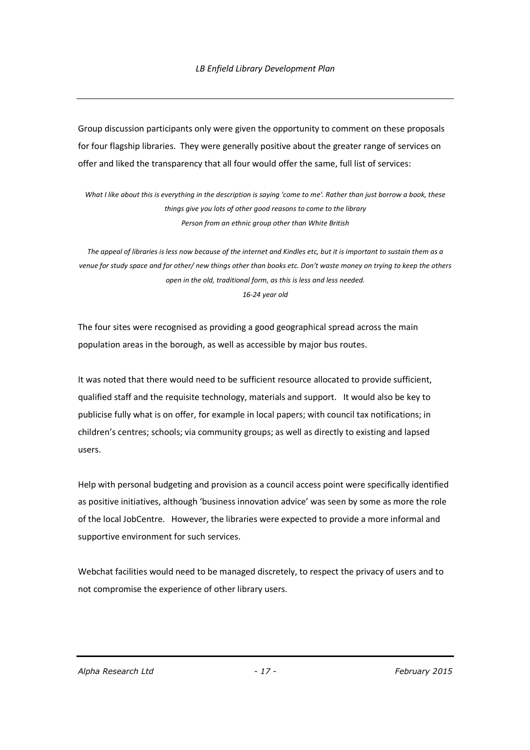Group discussion participants only were given the opportunity to comment on these proposals for four flagship libraries. They were generally positive about the greater range of services on offer and liked the transparency that all four would offer the same, full list of services:

*What I like about this is everything in the description is saying 'come to me'. Rather than just borrow a book, these things give you lots of other good reasons to come to the library Person from an ethnic group other than White British*

*The appeal of libraries is less now because of the internet and Kindles etc, but it is important to sustain them as a venue for study space and for other/ new things other than books etc. Don't waste money on trying to keep the others open in the old, traditional form, as this is less and less needed.*

*16-24 year old*

The four sites were recognised as providing a good geographical spread across the main population areas in the borough, as well as accessible by major bus routes.

It was noted that there would need to be sufficient resource allocated to provide sufficient, qualified staff and the requisite technology, materials and support. It would also be key to publicise fully what is on offer, for example in local papers; with council tax notifications; in children's centres; schools; via community groups; as well as directly to existing and lapsed users.

Help with personal budgeting and provision as a council access point were specifically identified as positive initiatives, although 'business innovation advice' was seen by some as more the role of the local JobCentre. However, the libraries were expected to provide a more informal and supportive environment for such services.

Webchat facilities would need to be managed discretely, to respect the privacy of users and to not compromise the experience of other library users.

*Alpha Research Ltd - 17 - February 2015*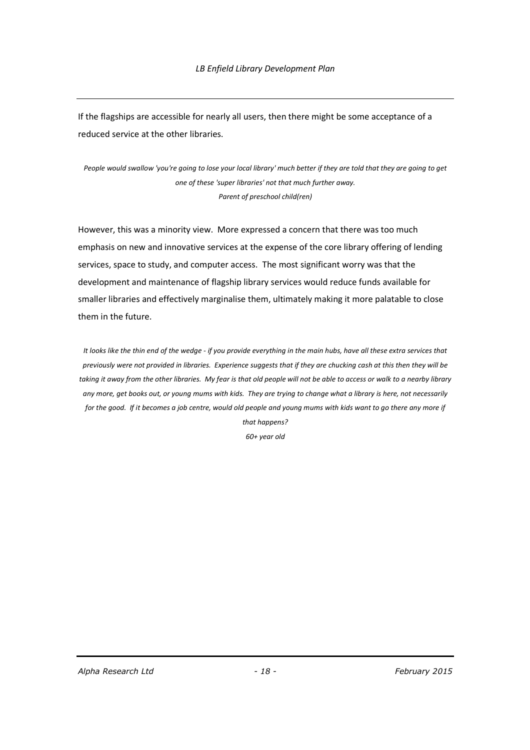If the flagships are accessible for nearly all users, then there might be some acceptance of a reduced service at the other libraries.

*People would swallow 'you're going to lose your local library' much better if they are told that they are going to get one of these 'super libraries' not that much further away. Parent of preschool child(ren)*

However, this was a minority view. More expressed a concern that there was too much emphasis on new and innovative services at the expense of the core library offering of lending services, space to study, and computer access. The most significant worry was that the development and maintenance of flagship library services would reduce funds available for smaller libraries and effectively marginalise them, ultimately making it more palatable to close them in the future.

*It looks like the thin end of the wedge - if you provide everything in the main hubs, have all these extra services that previously were not provided in libraries. Experience suggests that if they are chucking cash at this then they will be taking it away from the other libraries. My fear is that old people will not be able to access or walk to a nearby library any more, get books out, or young mums with kids. They are trying to change what a library is here, not necessarily for the good. If it becomes a job centre, would old people and young mums with kids want to go there any more if that happens? 60+ year old*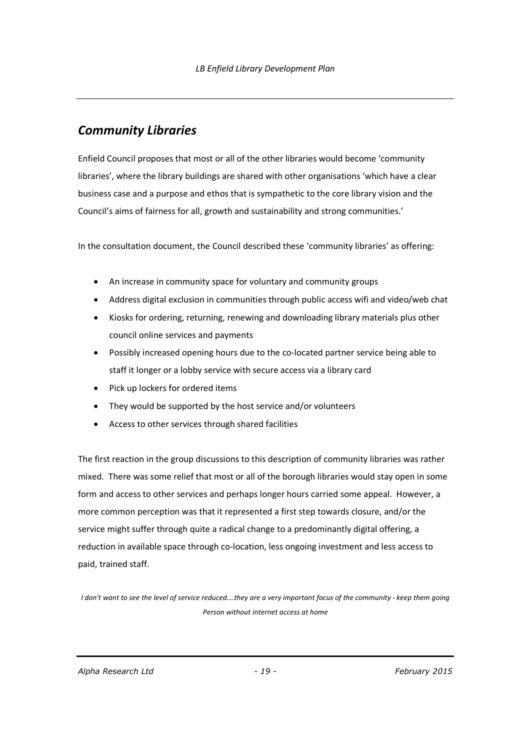### *Community Libraries*

Enfield Council proposes that most or all of the other libraries would become 'community libraries', where the library buildings are shared with other organisations 'which have a clear business case and a purpose and ethos that is sympathetic to the core library vision and the Council's aims of fairness for all, growth and sustainability and strong communities.'

In the consultation document, the Council described these 'community libraries' as offering:

- An increase in community space for voluntary and community groups
- Address digital exclusion in communities through public access wifi and video/web chat
- Kiosks for ordering, returning, renewing and downloading library materials plus other council online services and payments
- Possibly increased opening hours due to the co-located partner service being able to staff it longer or a lobby service with secure access via a library card
- Pick up lockers for ordered items
- They would be supported by the host service and/or volunteers
- Access to other services through shared facilities

The first reaction in the group discussions to this description of community libraries was rather mixed. There was some relief that most or all of the borough libraries would stay open in some form and access to other services and perhaps longer hours carried some appeal. However, a more common perception was that it represented a first step towards closure, and/or the service might suffer through quite a radical change to a predominantly digital offering, a reduction in available space through co-location, less ongoing investment and less access to paid, trained staff.

*I don't want to see the level of service reduced….they are a very important focus of the community - keep them going Person without internet access at home*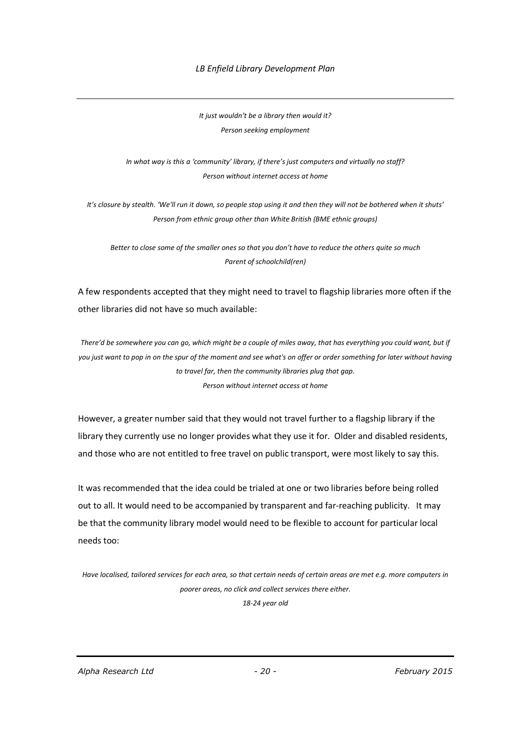*LB Enfield Library Development Plan*

*It just wouldn't be a library then would it? Person seeking employment*

*In what way is this a 'community' library, if there's just computers and virtually no staff? Person without internet access at home*

*It's closure by stealth. 'We'll run it down, so people stop using it and then they will not be bothered when it shuts' Person from ethnic group other than White British (BME ethnic groups)*

*Better to close some of the smaller ones so that you don't have to reduce the others quite so much Parent of schoolchild(ren)*

A few respondents accepted that they might need to travel to flagship libraries more often if the other libraries did not have so much available:

*There'd be somewhere you can go, which might be a couple of miles away, that has everything you could want, but if you just want to pop in on the spur of the moment and see what's on offer or order something for later without having to travel far, then the community libraries plug that gap. Person without internet access at home*

However, a greater number said that they would not travel further to a flagship library if the library they currently use no longer provides what they use it for. Older and disabled residents, and those who are not entitled to free travel on public transport, were most likely to say this.

It was recommended that the idea could be trialed at one or two libraries before being rolled out to all. It would need to be accompanied by transparent and far-reaching publicity. It may be that the community library model would need to be flexible to account for particular local needs too:

*Have localised, tailored services for each area, so that certain needs of certain areas are met e.g. more computers in poorer areas, no click and collect services there either. 18-24 year old*

*Alpha Research Ltd - 20 - February 2015*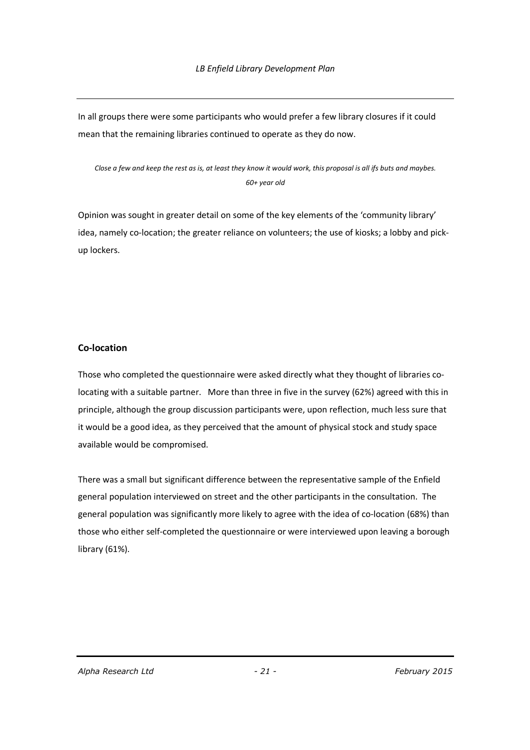In all groups there were some participants who would prefer a few library closures if it could mean that the remaining libraries continued to operate as they do now.

*Close a few and keep the rest as is, at least they know it would work, this proposal is all ifs buts and maybes. 60+ year old*

Opinion was sought in greater detail on some of the key elements of the 'community library' idea, namely co-location; the greater reliance on volunteers; the use of kiosks; a lobby and pickup lockers.

#### **Co-location**

Those who completed the questionnaire were asked directly what they thought of libraries colocating with a suitable partner. More than three in five in the survey (62%) agreed with this in principle, although the group discussion participants were, upon reflection, much less sure that it would be a good idea, as they perceived that the amount of physical stock and study space available would be compromised.

There was a small but significant difference between the representative sample of the Enfield general population interviewed on street and the other participants in the consultation. The general population was significantly more likely to agree with the idea of co-location (68%) than those who either self-completed the questionnaire or were interviewed upon leaving a borough library (61%).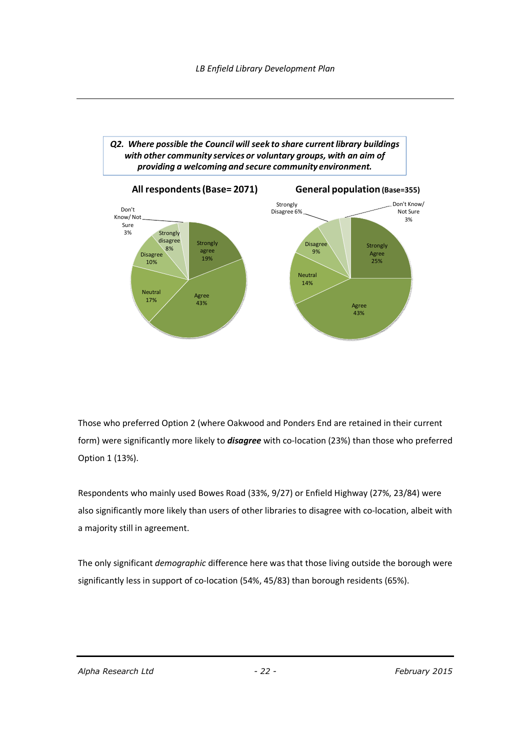#### *Q2. Where possible the Council will seek to share current library buildings with other community services or voluntary groups, with an aim of providing a welcoming and secure community environment.*



Those who preferred Option 2 (where Oakwood and Ponders End are retained in their current form) were significantly more likely to *disagree* with co-location (23%) than those who preferred Option 1 (13%).

Respondents who mainly used Bowes Road (33%, 9/27) or Enfield Highway (27%, 23/84) were also significantly more likely than users of other libraries to disagree with co-location, albeit with a majority still in agreement.

The only significant *demographic* difference here was that those living outside the borough were significantly less in support of co-location (54%, 45/83) than borough residents (65%).

*Alpha Research Ltd - 22 - February 2015*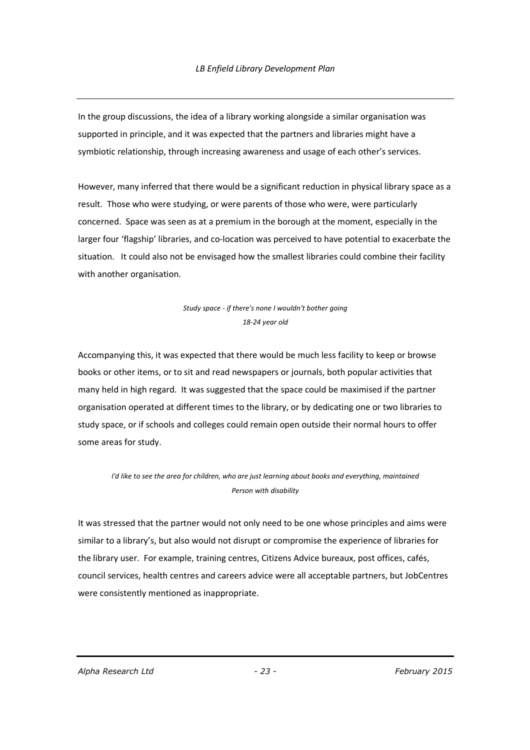In the group discussions, the idea of a library working alongside a similar organisation was supported in principle, and it was expected that the partners and libraries might have a symbiotic relationship, through increasing awareness and usage of each other's services.

However, many inferred that there would be a significant reduction in physical library space as a result. Those who were studying, or were parents of those who were, were particularly concerned. Space was seen as at a premium in the borough at the moment, especially in the larger four 'flagship' libraries, and co-location was perceived to have potential to exacerbate the situation. It could also not be envisaged how the smallest libraries could combine their facility with another organisation.

#### *Study space - if there's none I wouldn't bother going 18-24 year old*

Accompanying this, it was expected that there would be much less facility to keep or browse books or other items, or to sit and read newspapers or journals, both popular activities that many held in high regard. It was suggested that the space could be maximised if the partner organisation operated at different times to the library, or by dedicating one or two libraries to study space, or if schools and colleges could remain open outside their normal hours to offer some areas for study.

#### *I'd like to see the area for children, who are just learning about books and everything, maintained Person with disability*

It was stressed that the partner would not only need to be one whose principles and aims were similar to a library's, but also would not disrupt or compromise the experience of libraries for the library user. For example, training centres, Citizens Advice bureaux, post offices, cafés, council services, health centres and careers advice were all acceptable partners, but JobCentres were consistently mentioned as inappropriate.

*Alpha Research Ltd - 23 - February 2015*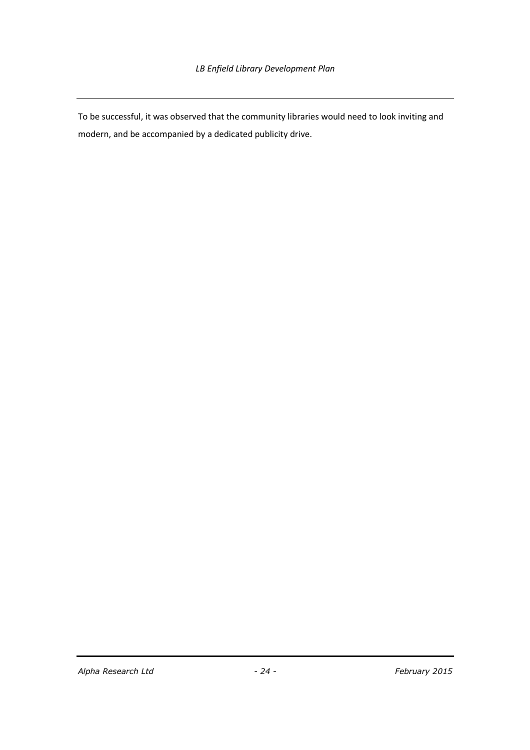To be successful, it was observed that the community libraries would need to look inviting and modern, and be accompanied by a dedicated publicity drive.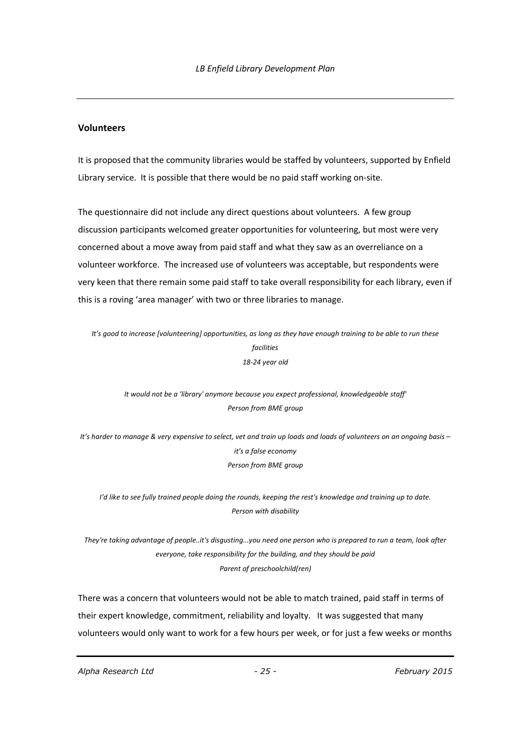#### **Volunteers**

It is proposed that the community libraries would be staffed by volunteers, supported by Enfield Library service. It is possible that there would be no paid staff working on-site.

The questionnaire did not include any direct questions about volunteers. A few group discussion participants welcomed greater opportunities for volunteering, but most were very concerned about a move away from paid staff and what they saw as an overreliance on a volunteer workforce. The increased use of volunteers was acceptable, but respondents were very keen that there remain some paid staff to take overall responsibility for each library, even if this is a roving 'area manager' with two or three libraries to manage.

*It's good to increase [volunteering] opportunities, as long as they have enough training to be able to run these facilities 18-24 year old*

*It would not be a 'library' anymore because you expect professional, knowledgeable staff' Person from BME group*

*It's harder to manage & very expensive to select, vet and train up loads and loads of volunteers on an ongoing basis – it's a false economy Person from BME group*

*I'd like to see fully trained people doing the rounds, keeping the rest's knowledge and training up to date. Person with disability*

*They're taking advantage of people..it's disgusting...you need one person who is prepared to run a team, look after everyone, take responsibility for the building, and they should be paid Parent of preschoolchild(ren)*

There was a concern that volunteers would not be able to match trained, paid staff in terms of their expert knowledge, commitment, reliability and loyalty. It was suggested that many volunteers would only want to work for a few hours per week, or for just a few weeks or months

*Alpha Research Ltd - 25 - February 2015*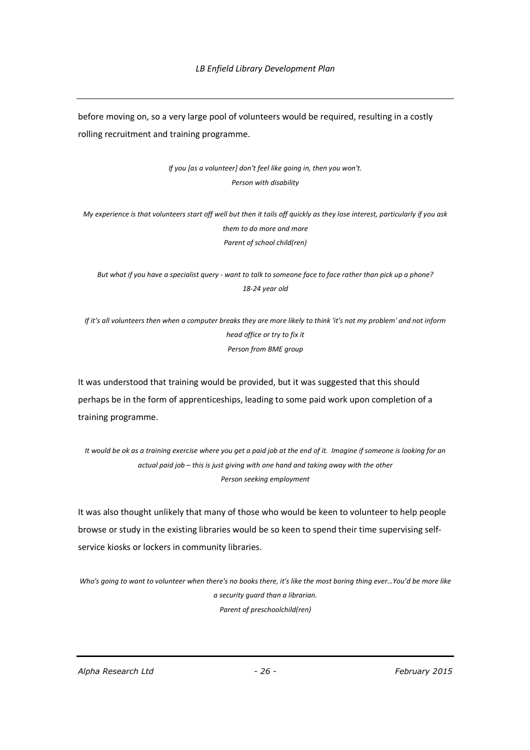before moving on, so a very large pool of volunteers would be required, resulting in a costly rolling recruitment and training programme.

> *If you [as a volunteer] don't feel like going in, then you won't. Person with disability*

*My experience is that volunteers start off well but then it tails off quickly as they lose interest, particularly if you ask them to do more and more Parent of school child(ren)*

*But what if you have a specialist query - want to talk to someone face to face rather than pick up a phone? 18-24 year old*

*If it's all volunteers then when a computer breaks they are more likely to think 'it's not my problem' and not inform head office or try to fix it Person from BME group*

It was understood that training would be provided, but it was suggested that this should perhaps be in the form of apprenticeships, leading to some paid work upon completion of a training programme.

*It would be ok as a training exercise where you get a paid job at the end of it. Imagine if someone is looking for an actual paid job – this is just giving with one hand and taking away with the other Person seeking employment*

It was also thought unlikely that many of those who would be keen to volunteer to help people browse or study in the existing libraries would be so keen to spend their time supervising selfservice kiosks or lockers in community libraries.

*Who's going to want to volunteer when there's no books there, it's like the most boring thing ever…You'd be more like a security guard than a librarian. Parent of preschoolchild(ren)*

*Alpha Research Ltd - 26 - February 2015*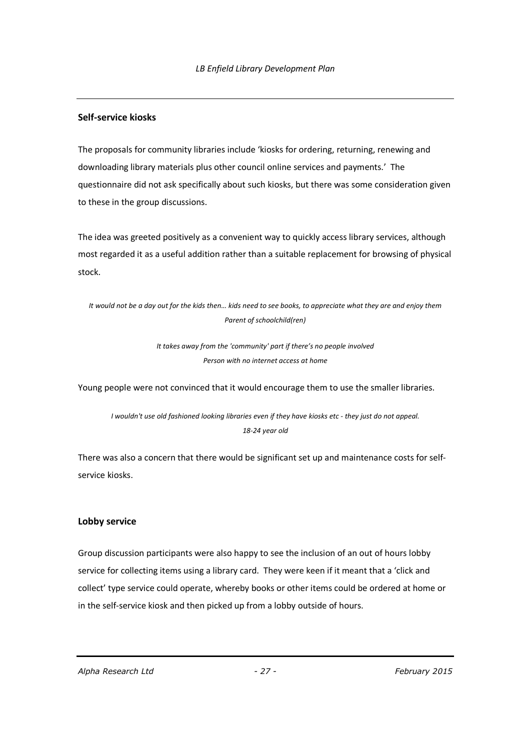#### **Self-service kiosks**

The proposals for community libraries include 'kiosks for ordering, returning, renewing and downloading library materials plus other council online services and payments.' The questionnaire did not ask specifically about such kiosks, but there was some consideration given to these in the group discussions.

The idea was greeted positively as a convenient way to quickly access library services, although most regarded it as a useful addition rather than a suitable replacement for browsing of physical stock.

*It would not be a day out for the kids then… kids need to see books, to appreciate what they are and enjoy them Parent of schoolchild(ren)*

> *It takes away from the 'community' part if there's no people involved Person with no internet access at home*

Young people were not convinced that it would encourage them to use the smaller libraries.

*I wouldn't use old fashioned looking libraries even if they have kiosks etc - they just do not appeal. 18-24 year old*

There was also a concern that there would be significant set up and maintenance costs for selfservice kiosks.

#### **Lobby service**

Group discussion participants were also happy to see the inclusion of an out of hours lobby service for collecting items using a library card. They were keen if it meant that a 'click and collect' type service could operate, whereby books or other items could be ordered at home or in the self-service kiosk and then picked up from a lobby outside of hours.

*Alpha Research Ltd - 27 - February 2015*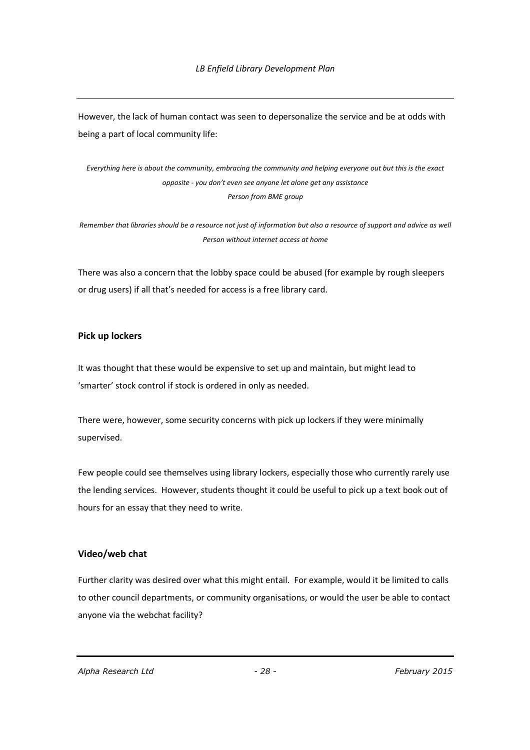However, the lack of human contact was seen to depersonalize the service and be at odds with being a part of local community life:

*Everything here is about the community, embracing the community and helping everyone out but this is the exact opposite - you don't even see anyone let alone get any assistance Person from BME group*

*Remember that libraries should be a resource not just of information but also a resource of support and advice as well Person without internet access at home*

There was also a concern that the lobby space could be abused (for example by rough sleepers or drug users) if all that's needed for access is a free library card.

#### **Pick up lockers**

It was thought that these would be expensive to set up and maintain, but might lead to 'smarter' stock control if stock is ordered in only as needed.

There were, however, some security concerns with pick up lockers if they were minimally supervised.

Few people could see themselves using library lockers, especially those who currently rarely use the lending services. However, students thought it could be useful to pick up a text book out of hours for an essay that they need to write.

#### **Video/web chat**

Further clarity was desired over what this might entail. For example, would it be limited to calls to other council departments, or community organisations, or would the user be able to contact anyone via the webchat facility?

*Alpha Research Ltd - 28 - February 2015*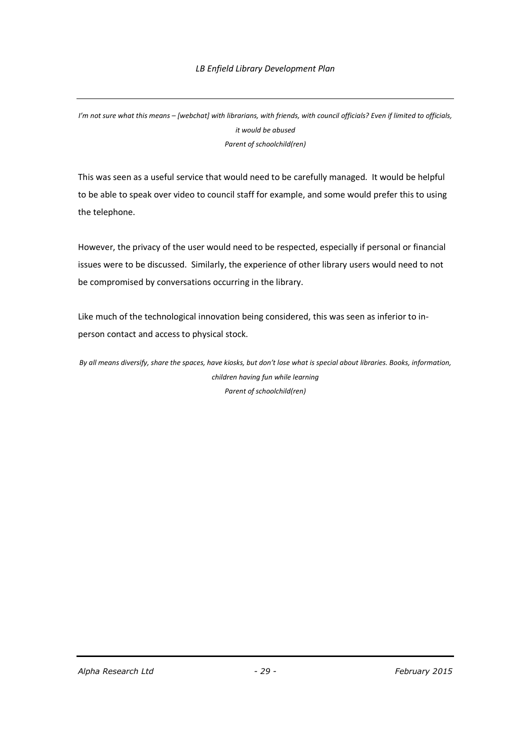*I'm not sure what this means – [webchat] with librarians, with friends, with council officials? Even if limited to officials, it would be abused Parent of schoolchild(ren)*

This was seen as a useful service that would need to be carefully managed. It would be helpful to be able to speak over video to council staff for example, and some would prefer this to using the telephone.

However, the privacy of the user would need to be respected, especially if personal or financial issues were to be discussed. Similarly, the experience of other library users would need to not be compromised by conversations occurring in the library.

Like much of the technological innovation being considered, this was seen as inferior to inperson contact and access to physical stock.

*By all means diversify, share the spaces, have kiosks, but don't lose what is special about libraries. Books, information, children having fun while learning Parent of schoolchild(ren)*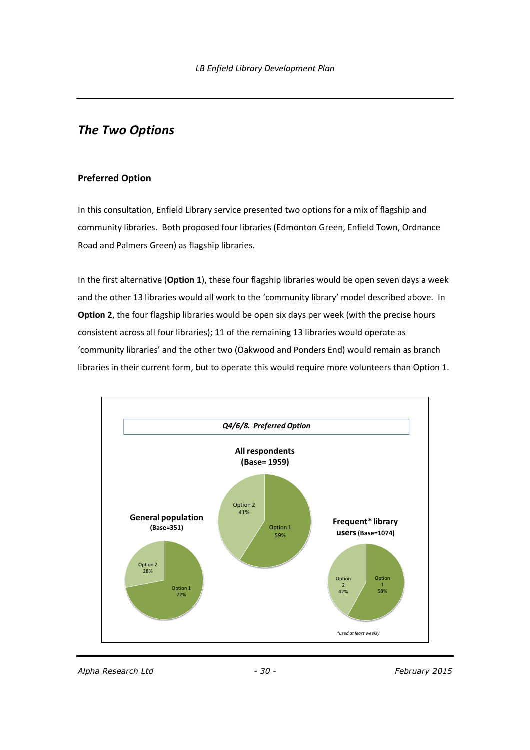### *The Two Options*

#### **Preferred Option**

In this consultation, Enfield Library service presented two options for a mix of flagship and community libraries. Both proposed four libraries (Edmonton Green, Enfield Town, Ordnance Road and Palmers Green) as flagship libraries.

In the first alternative (**Option 1**), these four flagship libraries would be open seven days a week and the other 13 libraries would all work to the 'community library' model described above. In **Option 2**, the four flagship libraries would be open six days per week (with the precise hours consistent across all four libraries); 11 of the remaining 13 libraries would operate as 'community libraries' and the other two (Oakwood and Ponders End) would remain as branch libraries in their current form, but to operate this would require more volunteers than Option 1.



*Alpha Research Ltd - 30 - February 2015*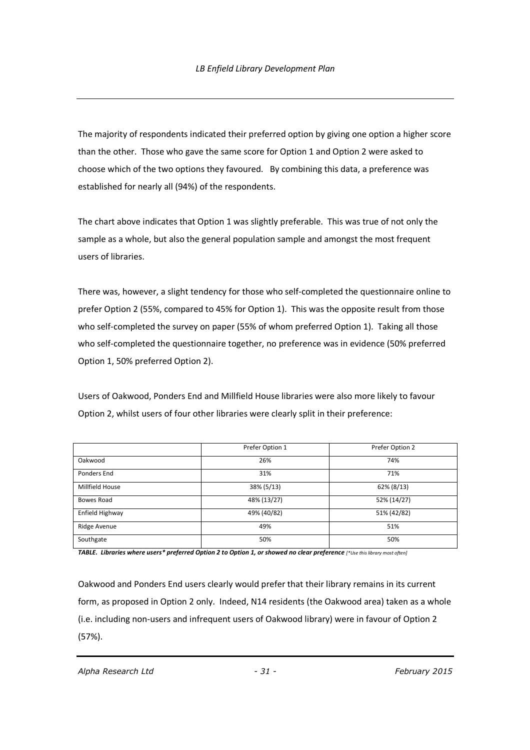The majority of respondents indicated their preferred option by giving one option a higher score than the other. Those who gave the same score for Option 1 and Option 2 were asked to choose which of the two options they favoured. By combining this data, a preference was established for nearly all (94%) of the respondents.

The chart above indicates that Option 1 was slightly preferable. This was true of not only the sample as a whole, but also the general population sample and amongst the most frequent users of libraries.

There was, however, a slight tendency for those who self-completed the questionnaire online to prefer Option 2 (55%, compared to 45% for Option 1). This was the opposite result from those who self-completed the survey on paper (55% of whom preferred Option 1). Taking all those who self-completed the questionnaire together, no preference was in evidence (50% preferred Option 1, 50% preferred Option 2).

Users of Oakwood, Ponders End and Millfield House libraries were also more likely to favour Option 2, whilst users of four other libraries were clearly split in their preference:

|                 | Prefer Option 1 | Prefer Option 2 |
|-----------------|-----------------|-----------------|
| Oakwood         | 26%             | 74%             |
| Ponders End     | 31%             | 71%             |
| Millfield House | 38% (5/13)      | 62% (8/13)      |
| Bowes Road      | 48% (13/27)     | 52% (14/27)     |
| Enfield Highway | 49% (40/82)     | 51% (42/82)     |
| Ridge Avenue    | 49%             | 51%             |
| Southgate       | 50%             | 50%             |

*TABLE. Libraries where users\* preferred Option 2 to Option 1, or showed no clear preference [\*Use this library most often]*

Oakwood and Ponders End users clearly would prefer that their library remains in its current form, as proposed in Option 2 only. Indeed, N14 residents (the Oakwood area) taken as a whole (i.e. including non-users and infrequent users of Oakwood library) were in favour of Option 2 (57%).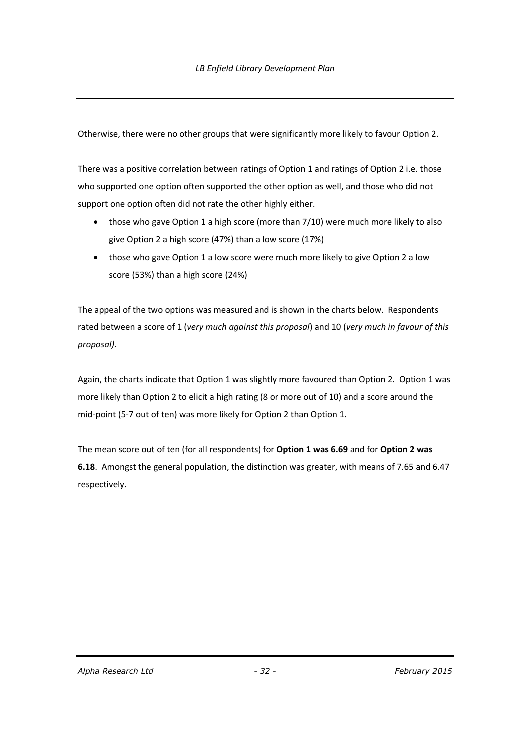Otherwise, there were no other groups that were significantly more likely to favour Option 2.

There was a positive correlation between ratings of Option 1 and ratings of Option 2 i.e. those who supported one option often supported the other option as well, and those who did not support one option often did not rate the other highly either.

- those who gave Option 1 a high score (more than 7/10) were much more likely to also give Option 2 a high score (47%) than a low score (17%)
- those who gave Option 1 a low score were much more likely to give Option 2 a low score (53%) than a high score (24%)

The appeal of the two options was measured and is shown in the charts below. Respondents rated between a score of 1 (*very much against this proposal*) and 10 (*very much in favour of this proposal).*

Again, the charts indicate that Option 1 was slightly more favoured than Option 2. Option 1 was more likely than Option 2 to elicit a high rating (8 or more out of 10) and a score around the mid-point (5-7 out of ten) was more likely for Option 2 than Option 1.

The mean score out of ten (for all respondents) for **Option 1 was 6.69** and for **Option 2 was 6.18**. Amongst the general population, the distinction was greater, with means of 7.65 and 6.47 respectively.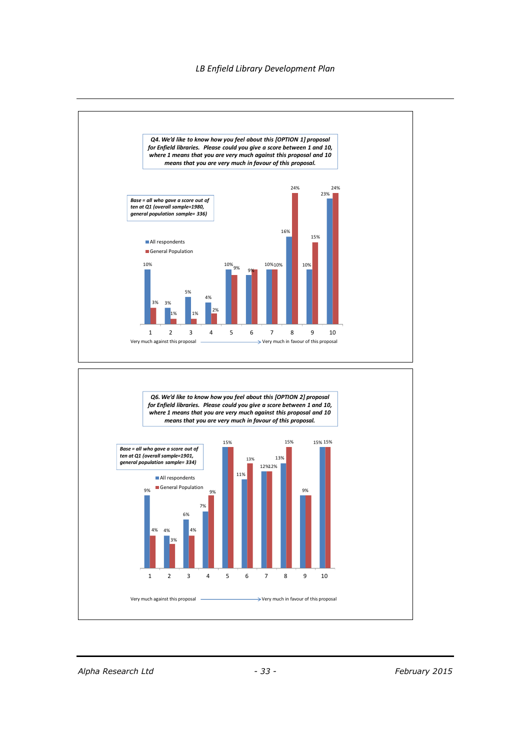#### *LB Enfield Library Development Plan*

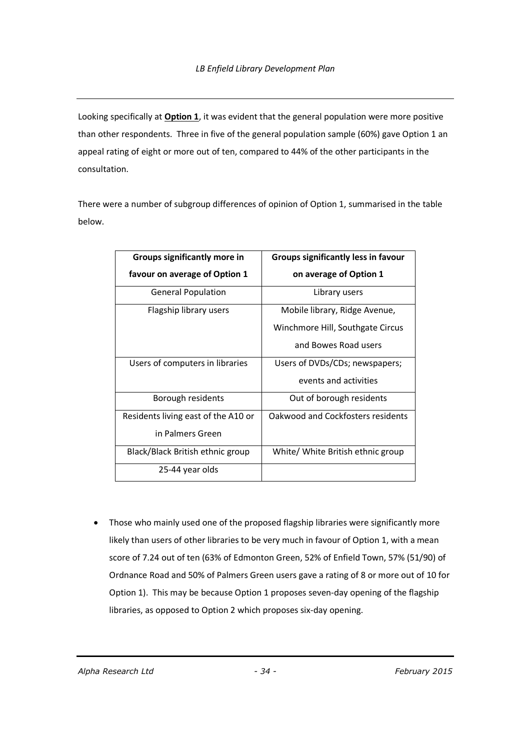Looking specifically at **Option 1**, it was evident that the general population were more positive than other respondents. Three in five of the general population sample (60%) gave Option 1 an appeal rating of eight or more out of ten, compared to 44% of the other participants in the consultation.

There were a number of subgroup differences of opinion of Option 1, summarised in the table below.

| <b>Groups significantly more in</b> | Groups significantly less in favour |
|-------------------------------------|-------------------------------------|
| favour on average of Option 1       | on average of Option 1              |
| <b>General Population</b>           | Library users                       |
| Flagship library users              | Mobile library, Ridge Avenue,       |
|                                     | Winchmore Hill, Southgate Circus    |
|                                     | and Bowes Road users                |
| Users of computers in libraries     | Users of DVDs/CDs; newspapers;      |
|                                     | events and activities               |
| Borough residents                   | Out of borough residents            |
| Residents living east of the A10 or | Oakwood and Cockfosters residents   |
| in Palmers Green                    |                                     |
| Black/Black British ethnic group    | White/ White British ethnic group   |
| 25-44 year olds                     |                                     |

 Those who mainly used one of the proposed flagship libraries were significantly more likely than users of other libraries to be very much in favour of Option 1, with a mean score of 7.24 out of ten (63% of Edmonton Green, 52% of Enfield Town, 57% (51/90) of Ordnance Road and 50% of Palmers Green users gave a rating of 8 or more out of 10 for Option 1). This may be because Option 1 proposes seven-day opening of the flagship libraries, as opposed to Option 2 which proposes six-day opening.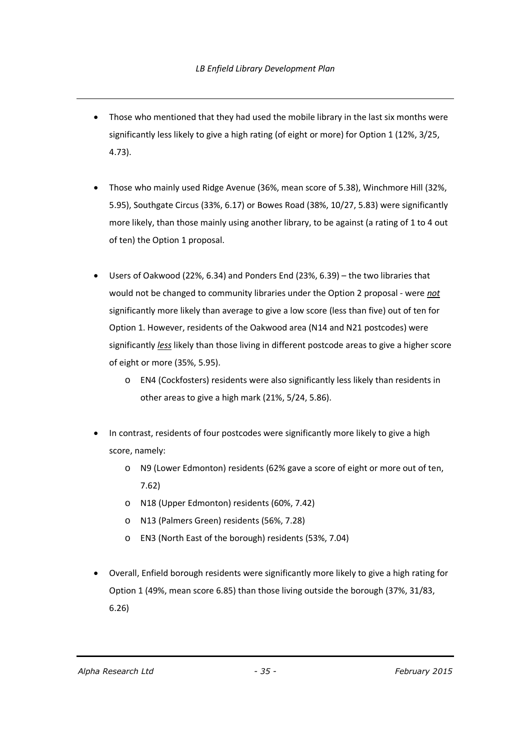- Those who mentioned that they had used the mobile library in the last six months were significantly less likely to give a high rating (of eight or more) for Option 1 (12%, 3/25, 4.73).
- Those who mainly used Ridge Avenue (36%, mean score of 5.38), Winchmore Hill (32%, 5.95), Southgate Circus (33%, 6.17) or Bowes Road (38%, 10/27, 5.83) were significantly more likely, than those mainly using another library, to be against (a rating of 1 to 4 out of ten) the Option 1 proposal.
- Users of Oakwood (22%, 6.34) and Ponders End (23%, 6.39) the two libraries that would not be changed to community libraries under the Option 2 proposal - were *not* significantly more likely than average to give a low score (less than five) out of ten for Option 1. However, residents of the Oakwood area (N14 and N21 postcodes) were significantly *less* likely than those living in different postcode areas to give a higher score of eight or more (35%, 5.95).
	- o EN4 (Cockfosters) residents were also significantly less likely than residents in other areas to give a high mark (21%, 5/24, 5.86).
- In contrast, residents of four postcodes were significantly more likely to give a high score, namely:
	- o N9 (Lower Edmonton) residents (62% gave a score of eight or more out of ten, 7.62)
	- o N18 (Upper Edmonton) residents (60%, 7.42)
	- o N13 (Palmers Green) residents (56%, 7.28)
	- o EN3 (North East of the borough) residents (53%, 7.04)
- Overall, Enfield borough residents were significantly more likely to give a high rating for Option 1 (49%, mean score 6.85) than those living outside the borough (37%, 31/83, 6.26)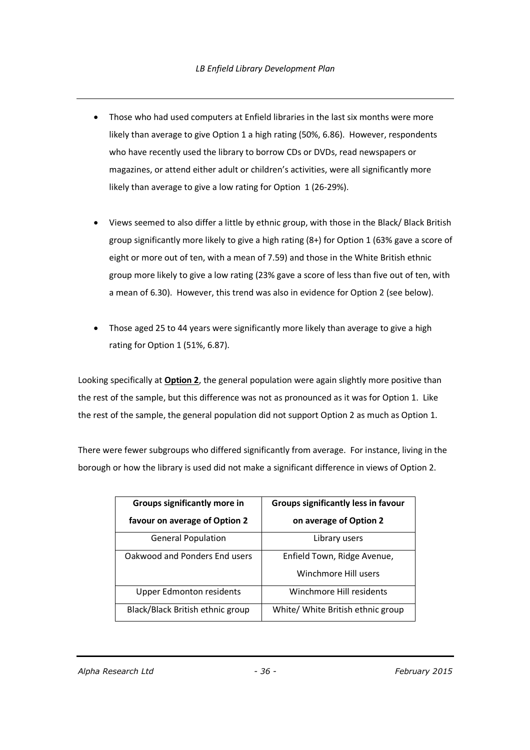- Those who had used computers at Enfield libraries in the last six months were more likely than average to give Option 1 a high rating (50%, 6.86). However, respondents who have recently used the library to borrow CDs or DVDs, read newspapers or magazines, or attend either adult or children's activities, were all significantly more likely than average to give a low rating for Option 1 (26-29%).
- Views seemed to also differ a little by ethnic group, with those in the Black/ Black British group significantly more likely to give a high rating (8+) for Option 1 (63% gave a score of eight or more out of ten, with a mean of 7.59) and those in the White British ethnic group more likely to give a low rating (23% gave a score of less than five out of ten, with a mean of 6.30). However, this trend was also in evidence for Option 2 (see below).
- Those aged 25 to 44 years were significantly more likely than average to give a high rating for Option 1 (51%, 6.87).

Looking specifically at **Option 2**, the general population were again slightly more positive than the rest of the sample, but this difference was not as pronounced as it was for Option 1. Like the rest of the sample, the general population did not support Option 2 as much as Option 1.

There were fewer subgroups who differed significantly from average. For instance, living in the borough or how the library is used did not make a significant difference in views of Option 2.

| Groups significantly more in     | Groups significantly less in favour |
|----------------------------------|-------------------------------------|
| favour on average of Option 2    | on average of Option 2              |
| <b>General Population</b>        | Library users                       |
| Oakwood and Ponders End users    | Enfield Town, Ridge Avenue,         |
|                                  | Winchmore Hill users                |
| <b>Upper Edmonton residents</b>  | Winchmore Hill residents            |
| Black/Black British ethnic group | White/ White British ethnic group   |

*Alpha Research Ltd - 36 - February 2015*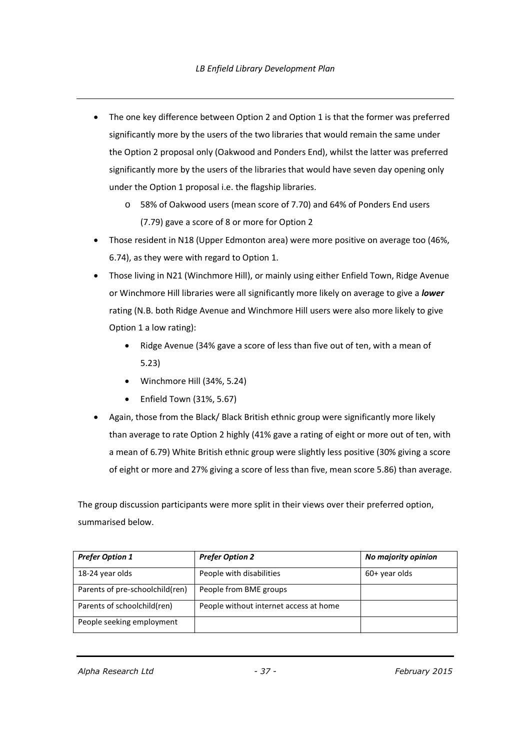- The one key difference between Option 2 and Option 1 is that the former was preferred significantly more by the users of the two libraries that would remain the same under the Option 2 proposal only (Oakwood and Ponders End), whilst the latter was preferred significantly more by the users of the libraries that would have seven day opening only under the Option 1 proposal i.e. the flagship libraries.
	- o 58% of Oakwood users (mean score of 7.70) and 64% of Ponders End users (7.79) gave a score of 8 or more for Option 2
- Those resident in N18 (Upper Edmonton area) were more positive on average too (46%, 6.74), as they were with regard to Option 1.
- Those living in N21 (Winchmore Hill), or mainly using either Enfield Town, Ridge Avenue or Winchmore Hill libraries were all significantly more likely on average to give a *lower* rating (N.B. both Ridge Avenue and Winchmore Hill users were also more likely to give Option 1 a low rating):
	- Ridge Avenue (34% gave a score of less than five out of ten, with a mean of 5.23)
	- Winchmore Hill (34%, 5.24)
	- Enfield Town (31%, 5.67)
- Again, those from the Black/ Black British ethnic group were significantly more likely than average to rate Option 2 highly (41% gave a rating of eight or more out of ten, with a mean of 6.79) White British ethnic group were slightly less positive (30% giving a score of eight or more and 27% giving a score of less than five, mean score 5.86) than average.

The group discussion participants were more split in their views over their preferred option, summarised below.

| <b>Prefer Option 1</b>          | <b>Prefer Option 2</b>                 | No majority opinion |
|---------------------------------|----------------------------------------|---------------------|
| 18-24 year olds                 | People with disabilities               | 60+ year olds       |
| Parents of pre-schoolchild(ren) | People from BME groups                 |                     |
| Parents of schoolchild(ren)     | People without internet access at home |                     |
| People seeking employment       |                                        |                     |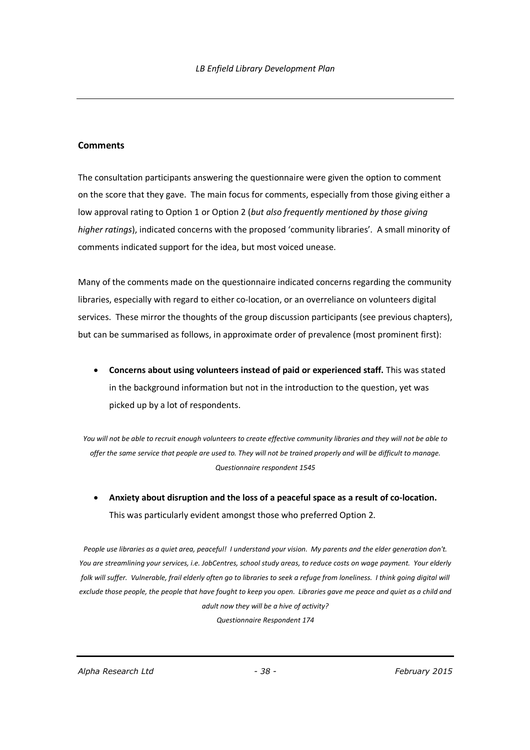#### **Comments**

The consultation participants answering the questionnaire were given the option to comment on the score that they gave. The main focus for comments, especially from those giving either a low approval rating to Option 1 or Option 2 (*but also frequently mentioned by those giving higher ratings*), indicated concerns with the proposed 'community libraries'. A small minority of comments indicated support for the idea, but most voiced unease.

Many of the comments made on the questionnaire indicated concerns regarding the community libraries, especially with regard to either co-location, or an overreliance on volunteers digital services. These mirror the thoughts of the group discussion participants (see previous chapters), but can be summarised as follows, in approximate order of prevalence (most prominent first):

 **Concerns about using volunteers instead of paid or experienced staff.** This was stated in the background information but not in the introduction to the question, yet was picked up by a lot of respondents.

*You will not be able to recruit enough volunteers to create effective community libraries and they will not be able to offer the same service that people are used to. They will not be trained properly and will be difficult to manage. Questionnaire respondent 1545*

 **Anxiety about disruption and the loss of a peaceful space as a result of co-location.** This was particularly evident amongst those who preferred Option 2.

*People use libraries as a quiet area, peaceful! I understand your vision. My parents and the elder generation don't. You are streamlining your services, i.e. JobCentres, school study areas, to reduce costs on wage payment. Your elderly folk will suffer. Vulnerable, frail elderly often go to libraries to seek a refuge from loneliness. I think going digital will exclude those people, the people that have fought to keep you open. Libraries gave me peace and quiet as a child and adult now they will be a hive of activity?*

*Questionnaire Respondent 174*

*Alpha Research Ltd - 38 - February 2015*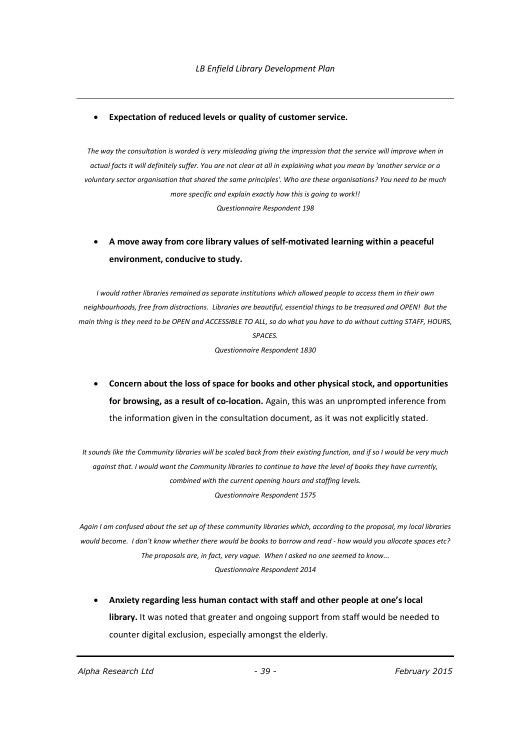#### **Expectation of reduced levels or quality of customer service.**

*The way the consultation is worded is very misleading giving the impression that the service will improve when in actual facts it will definitely suffer. You are not clear at all in explaining what you mean by 'another service or a voluntary sector organisation that shared the same principles'. Who are these organisations? You need to be much more specific and explain exactly how this is going to work!! Questionnaire Respondent 198*

# **A move away from core library values of self-motivated learning within a peaceful environment, conducive to study.**

*I would rather libraries remained as separate institutions which allowed people to access them in their own neighbourhoods, free from distractions. Libraries are beautiful, essential things to be treasured and OPEN! But the main thing is they need to be OPEN and ACCESSIBLE TO ALL, so do what you have to do without cutting STAFF, HOURS, SPACES.*

*Questionnaire Respondent 1830*

 **Concern about the loss of space for books and other physical stock, and opportunities for browsing, as a result of co-location.** Again, this was an unprompted inference from the information given in the consultation document, as it was not explicitly stated.

*It sounds like the Community libraries will be scaled back from their existing function, and if so I would be very much against that. I would want the Community libraries to continue to have the level of books they have currently, combined with the current opening hours and staffing levels. Questionnaire Respondent 1575*

*Again I am confused about the set up of these community libraries which, according to the proposal, my local libraries would become. I don't know whether there would be books to borrow and read - how would you allocate spaces etc? The proposals are, in fact, very vague. When I asked no one seemed to know... Questionnaire Respondent 2014*

 **Anxiety regarding less human contact with staff and other people at one's local library.** It was noted that greater and ongoing support from staff would be needed to counter digital exclusion, especially amongst the elderly.

*Alpha Research Ltd - 39 - February 2015*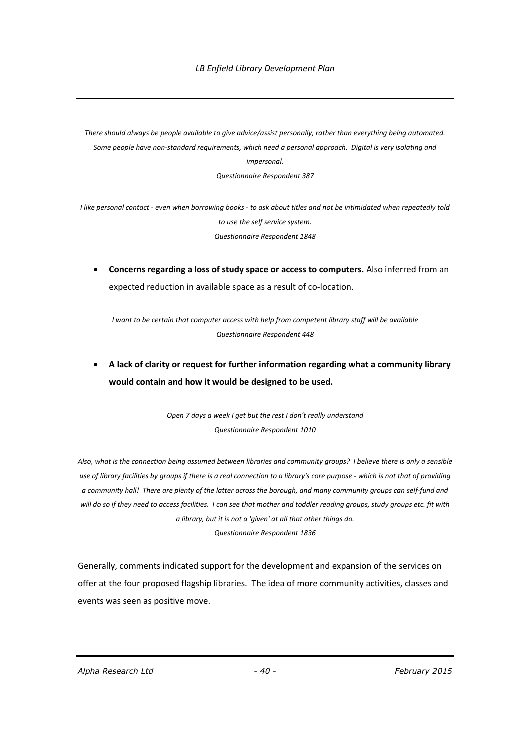*There should always be people available to give advice/assist personally, rather than everything being automated. Some people have non-standard requirements, which need a personal approach. Digital is very isolating and impersonal. Questionnaire Respondent 387*

*I like personal contact - even when borrowing books - to ask about titles and not be intimidated when repeatedly told to use the self service system. Questionnaire Respondent 1848*

 **Concerns regarding a loss of study space or access to computers.** Also inferred from an expected reduction in available space as a result of co-location.

*I want to be certain that computer access with help from competent library staff will be available Questionnaire Respondent 448*

 **A lack of clarity or request for further information regarding what a community library would contain and how it would be designed to be used.**

> *Open 7 days a week I get but the rest I don't really understand Questionnaire Respondent 1010*

*Also, what is the connection being assumed between libraries and community groups? I believe there is only a sensible use of library facilities by groups if there is a real connection to a library's core purpose - which is not that of providing a community hall! There are plenty of the latter across the borough, and many community groups can self-fund and will do so if they need to access facilities. I can see that mother and toddler reading groups, study groups etc. fit with a library, but it is not a 'given' at all that other things do.*

*Questionnaire Respondent 1836*

Generally, comments indicated support for the development and expansion of the services on offer at the four proposed flagship libraries. The idea of more community activities, classes and events was seen as positive move.

*Alpha Research Ltd - 40 - February 2015*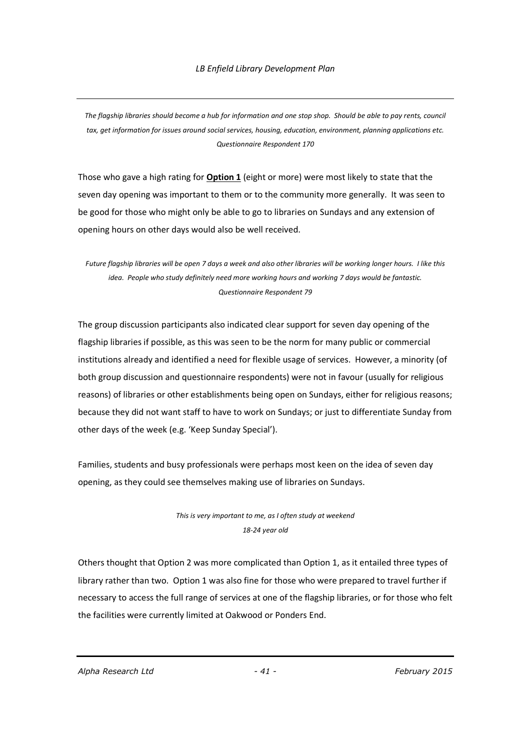*The flagship libraries should become a hub for information and one stop shop. Should be able to pay rents, council tax, get information for issues around social services, housing, education, environment, planning applications etc. Questionnaire Respondent 170*

Those who gave a high rating for **Option 1** (eight or more) were most likely to state that the seven day opening was important to them or to the community more generally. It was seen to be good for those who might only be able to go to libraries on Sundays and any extension of opening hours on other days would also be well received.

*Future flagship libraries will be open 7 days a week and also other libraries will be working longer hours. I like this idea. People who study definitely need more working hours and working 7 days would be fantastic. Questionnaire Respondent 79*

The group discussion participants also indicated clear support for seven day opening of the flagship libraries if possible, as this was seen to be the norm for many public or commercial institutions already and identified a need for flexible usage of services. However, a minority (of both group discussion and questionnaire respondents) were not in favour (usually for religious reasons) of libraries or other establishments being open on Sundays, either for religious reasons; because they did not want staff to have to work on Sundays; or just to differentiate Sunday from other days of the week (e.g. 'Keep Sunday Special').

Families, students and busy professionals were perhaps most keen on the idea of seven day opening, as they could see themselves making use of libraries on Sundays.

> *This is very important to me, as I often study at weekend 18-24 year old*

Others thought that Option 2 was more complicated than Option 1, as it entailed three types of library rather than two. Option 1 was also fine for those who were prepared to travel further if necessary to access the full range of services at one of the flagship libraries, or for those who felt the facilities were currently limited at Oakwood or Ponders End.

*Alpha Research Ltd - 41 - February 2015*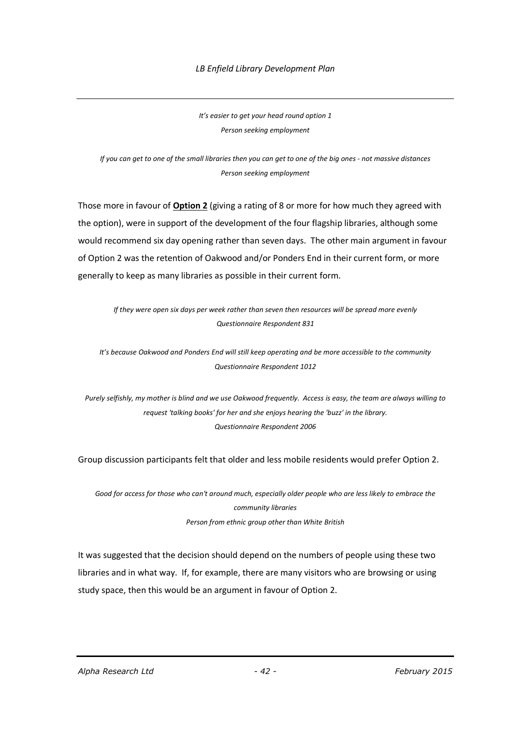#### *LB Enfield Library Development Plan*

*It's easier to get your head round option 1 Person seeking employment*

*If you can get to one of the small libraries then you can get to one of the big ones - not massive distances Person seeking employment*

Those more in favour of **Option 2** (giving a rating of 8 or more for how much they agreed with the option), were in support of the development of the four flagship libraries, although some would recommend six day opening rather than seven days. The other main argument in favour of Option 2 was the retention of Oakwood and/or Ponders End in their current form, or more generally to keep as many libraries as possible in their current form.

*If they were open six days per week rather than seven then resources will be spread more evenly Questionnaire Respondent 831*

*It's because Oakwood and Ponders End will still keep operating and be more accessible to the community Questionnaire Respondent 1012*

*Purely selfishly, my mother is blind and we use Oakwood frequently. Access is easy, the team are always willing to request 'talking books' for her and she enjoys hearing the 'buzz' in the library. Questionnaire Respondent 2006*

Group discussion participants felt that older and less mobile residents would prefer Option 2.

*Good for access for those who can't around much, especially older people who are less likely to embrace the community libraries Person from ethnic group other than White British*

It was suggested that the decision should depend on the numbers of people using these two libraries and in what way. If, for example, there are many visitors who are browsing or using study space, then this would be an argument in favour of Option 2.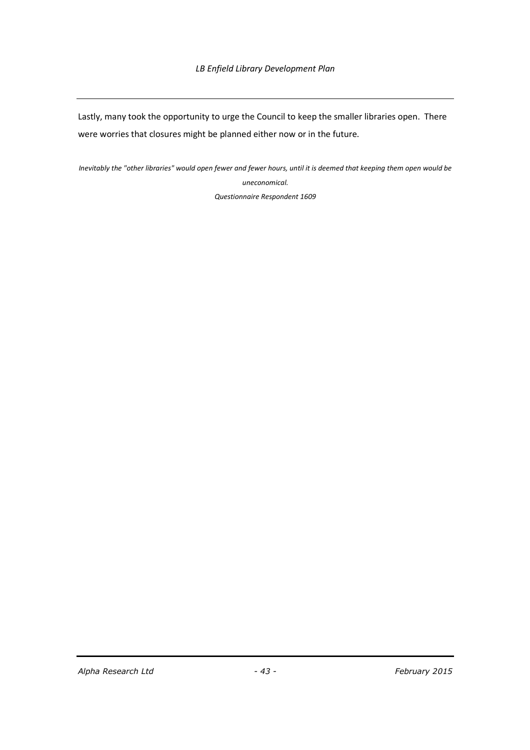Lastly, many took the opportunity to urge the Council to keep the smaller libraries open. There were worries that closures might be planned either now or in the future.

*Inevitably the "other libraries" would open fewer and fewer hours, until it is deemed that keeping them open would be uneconomical.*

*Questionnaire Respondent 1609*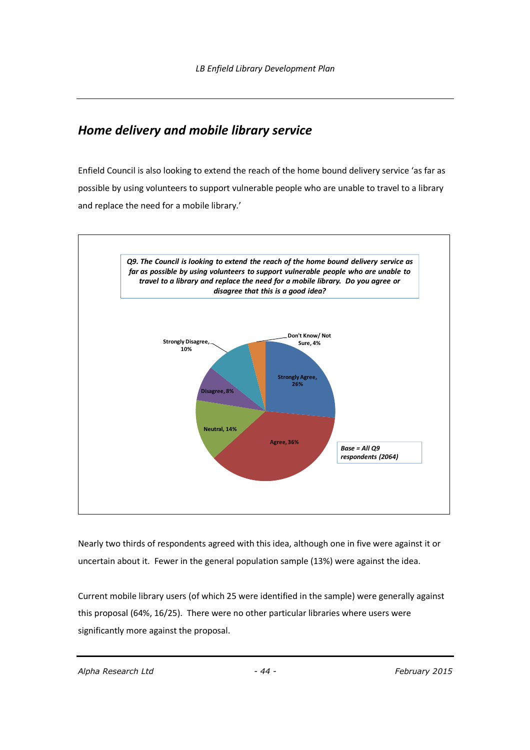# *Home delivery and mobile library service*

Enfield Council is also looking to extend the reach of the home bound delivery service 'as far as possible by using volunteers to support vulnerable people who are unable to travel to a library and replace the need for a mobile library.'



Nearly two thirds of respondents agreed with this idea, although one in five were against it or uncertain about it. Fewer in the general population sample (13%) were against the idea.

Current mobile library users (of which 25 were identified in the sample) were generally against this proposal (64%, 16/25). There were no other particular libraries where users were significantly more against the proposal.

*Alpha Research Ltd - 44 - February 2015*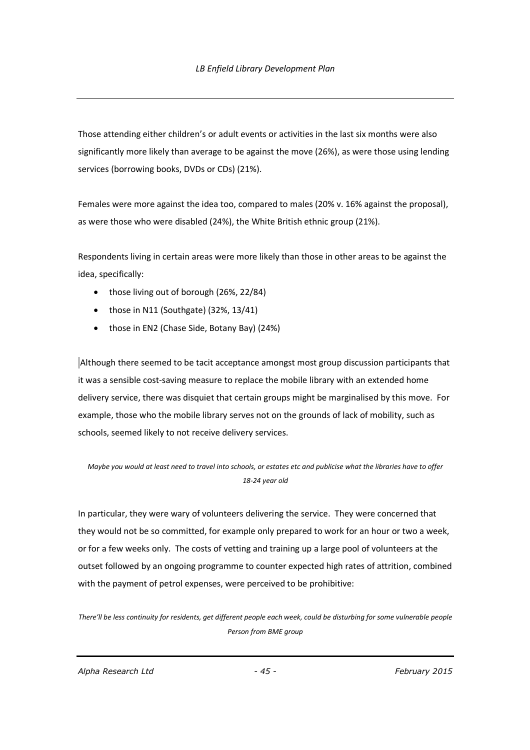Those attending either children's or adult events or activities in the last six months were also significantly more likely than average to be against the move (26%), as were those using lending services (borrowing books, DVDs or CDs) (21%).

Females were more against the idea too, compared to males (20% v. 16% against the proposal), as were those who were disabled (24%), the White British ethnic group (21%).

Respondents living in certain areas were more likely than those in other areas to be against the idea, specifically:

- those living out of borough (26%, 22/84)
- $\bullet$  those in N11 (Southgate) (32%, 13/41)
- those in EN2 (Chase Side, Botany Bay) (24%)

Although there seemed to be tacit acceptance amongst most group discussion participants that it was a sensible cost-saving measure to replace the mobile library with an extended home delivery service, there was disquiet that certain groups might be marginalised by this move. For example, those who the mobile library serves not on the grounds of lack of mobility, such as schools, seemed likely to not receive delivery services.

#### *Maybe you would at least need to travel into schools, or estates etc and publicise what the libraries have to offer 18-24 year old*

In particular, they were wary of volunteers delivering the service. They were concerned that they would not be so committed, for example only prepared to work for an hour or two a week, or for a few weeks only. The costs of vetting and training up a large pool of volunteers at the outset followed by an ongoing programme to counter expected high rates of attrition, combined with the payment of petrol expenses, were perceived to be prohibitive:

*There'll be less continuity for residents, get different people each week, could be disturbing for some vulnerable people Person from BME group*

*Alpha Research Ltd - 45 - February 2015*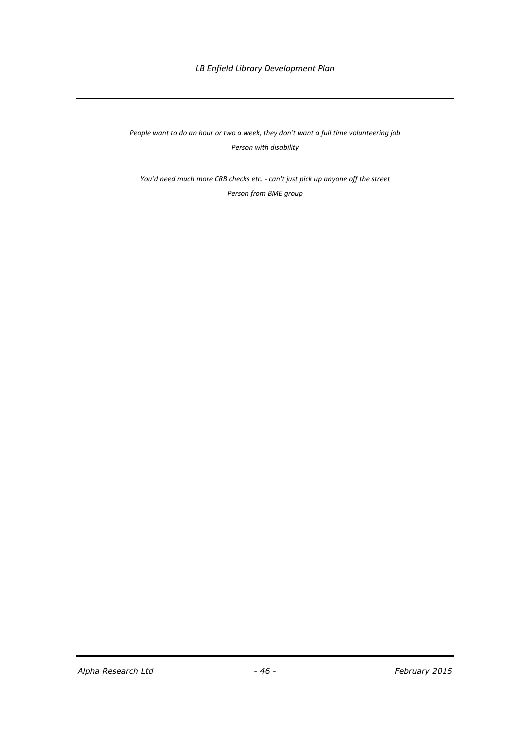*LB Enfield Library Development Plan*

*People want to do an hour or two a week, they don't want a full time volunteering job Person with disability*

*You'd need much more CRB checks etc. - can't just pick up anyone off the street Person from BME group*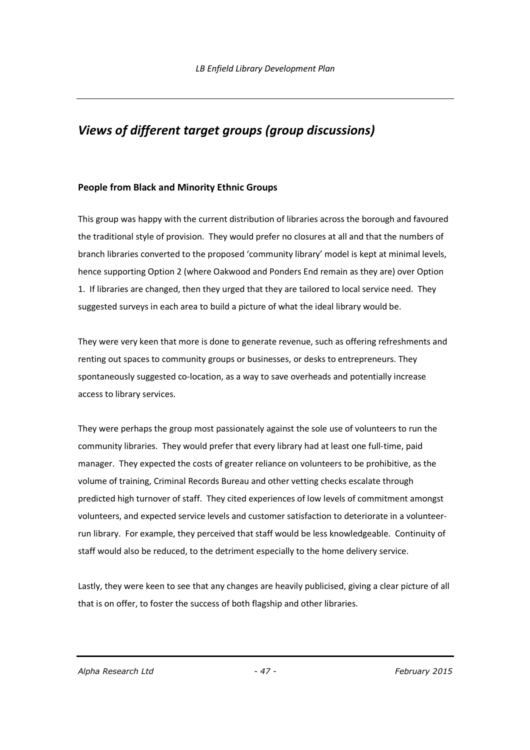# *Views of different target groups (group discussions)*

#### **People from Black and Minority Ethnic Groups**

This group was happy with the current distribution of libraries across the borough and favoured the traditional style of provision. They would prefer no closures at all and that the numbers of branch libraries converted to the proposed 'community library' model is kept at minimal levels, hence supporting Option 2 (where Oakwood and Ponders End remain as they are) over Option 1. If libraries are changed, then they urged that they are tailored to local service need. They suggested surveys in each area to build a picture of what the ideal library would be.

They were very keen that more is done to generate revenue, such as offering refreshments and renting out spaces to community groups or businesses, or desks to entrepreneurs. They spontaneously suggested co-location, as a way to save overheads and potentially increase access to library services.

They were perhaps the group most passionately against the sole use of volunteers to run the community libraries. They would prefer that every library had at least one full-time, paid manager. They expected the costs of greater reliance on volunteers to be prohibitive, as the volume of training, Criminal Records Bureau and other vetting checks escalate through predicted high turnover of staff. They cited experiences of low levels of commitment amongst volunteers, and expected service levels and customer satisfaction to deteriorate in a volunteerrun library. For example, they perceived that staff would be less knowledgeable. Continuity of staff would also be reduced, to the detriment especially to the home delivery service.

Lastly, they were keen to see that any changes are heavily publicised, giving a clear picture of all that is on offer, to foster the success of both flagship and other libraries.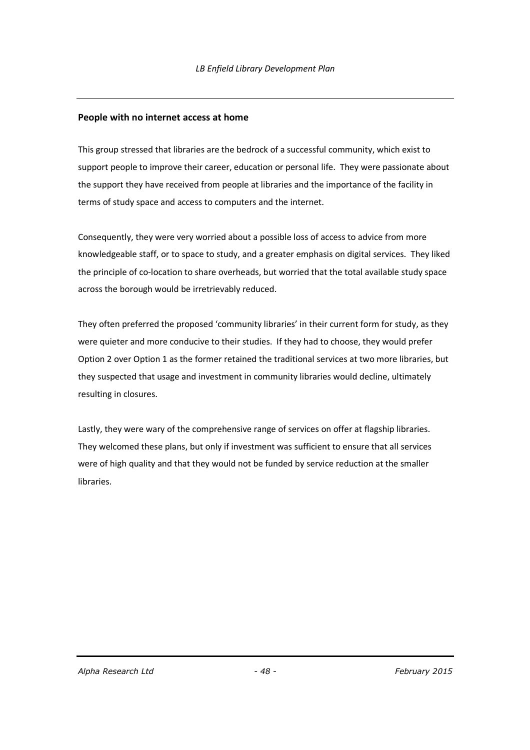#### **People with no internet access at home**

This group stressed that libraries are the bedrock of a successful community, which exist to support people to improve their career, education or personal life. They were passionate about the support they have received from people at libraries and the importance of the facility in terms of study space and access to computers and the internet.

Consequently, they were very worried about a possible loss of access to advice from more knowledgeable staff, or to space to study, and a greater emphasis on digital services. They liked the principle of co-location to share overheads, but worried that the total available study space across the borough would be irretrievably reduced.

They often preferred the proposed 'community libraries' in their current form for study, as they were quieter and more conducive to their studies. If they had to choose, they would prefer Option 2 over Option 1 as the former retained the traditional services at two more libraries, but they suspected that usage and investment in community libraries would decline, ultimately resulting in closures.

Lastly, they were wary of the comprehensive range of services on offer at flagship libraries. They welcomed these plans, but only if investment was sufficient to ensure that all services were of high quality and that they would not be funded by service reduction at the smaller libraries.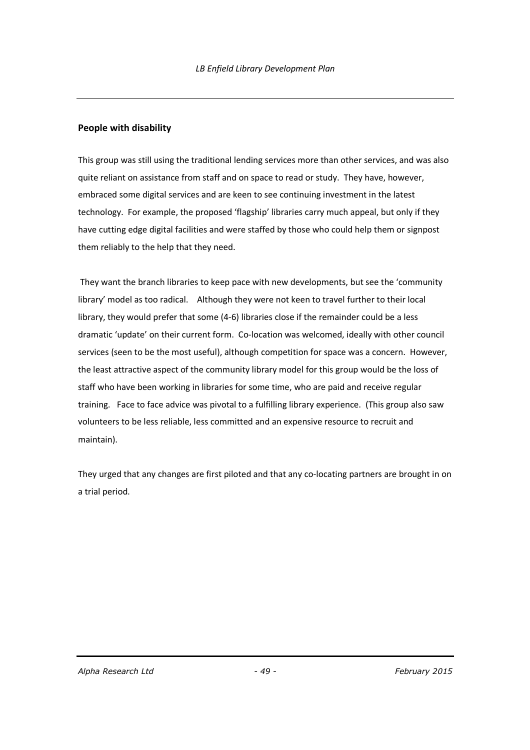#### **People with disability**

This group was still using the traditional lending services more than other services, and was also quite reliant on assistance from staff and on space to read or study. They have, however, embraced some digital services and are keen to see continuing investment in the latest technology. For example, the proposed 'flagship' libraries carry much appeal, but only if they have cutting edge digital facilities and were staffed by those who could help them or signpost them reliably to the help that they need.

They want the branch libraries to keep pace with new developments, but see the 'community library' model as too radical. Although they were not keen to travel further to their local library, they would prefer that some (4-6) libraries close if the remainder could be a less dramatic 'update' on their current form. Co-location was welcomed, ideally with other council services (seen to be the most useful), although competition for space was a concern. However, the least attractive aspect of the community library model for this group would be the loss of staff who have been working in libraries for some time, who are paid and receive regular training. Face to face advice was pivotal to a fulfilling library experience. (This group also saw volunteers to be less reliable, less committed and an expensive resource to recruit and maintain).

They urged that any changes are first piloted and that any co-locating partners are brought in on a trial period.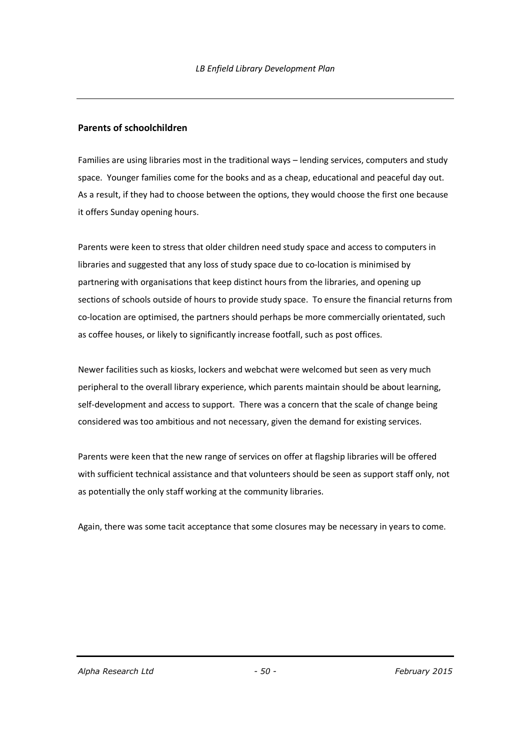#### **Parents of schoolchildren**

Families are using libraries most in the traditional ways – lending services, computers and study space. Younger families come for the books and as a cheap, educational and peaceful day out. As a result, if they had to choose between the options, they would choose the first one because it offers Sunday opening hours.

Parents were keen to stress that older children need study space and access to computers in libraries and suggested that any loss of study space due to co-location is minimised by partnering with organisations that keep distinct hours from the libraries, and opening up sections of schools outside of hours to provide study space. To ensure the financial returns from co-location are optimised, the partners should perhaps be more commercially orientated, such as coffee houses, or likely to significantly increase footfall, such as post offices.

Newer facilities such as kiosks, lockers and webchat were welcomed but seen as very much peripheral to the overall library experience, which parents maintain should be about learning, self-development and access to support. There was a concern that the scale of change being considered was too ambitious and not necessary, given the demand for existing services.

Parents were keen that the new range of services on offer at flagship libraries will be offered with sufficient technical assistance and that volunteers should be seen as support staff only, not as potentially the only staff working at the community libraries.

Again, there was some tacit acceptance that some closures may be necessary in years to come.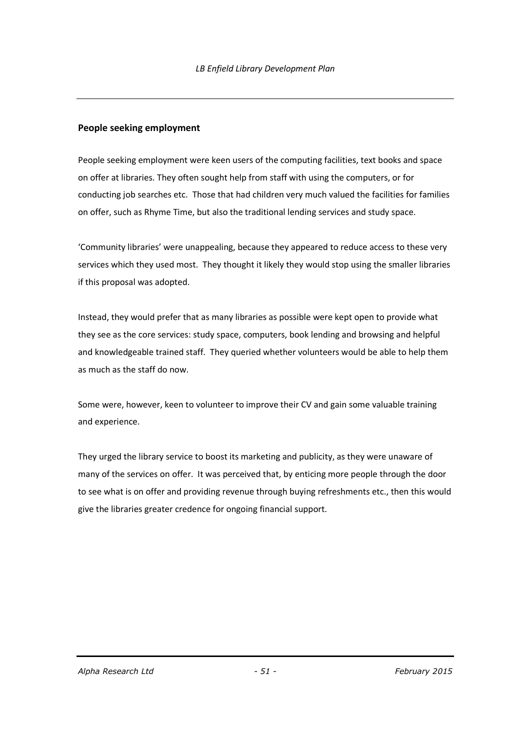#### **People seeking employment**

People seeking employment were keen users of the computing facilities, text books and space on offer at libraries. They often sought help from staff with using the computers, or for conducting job searches etc. Those that had children very much valued the facilities for families on offer, such as Rhyme Time, but also the traditional lending services and study space.

'Community libraries' were unappealing, because they appeared to reduce access to these very services which they used most. They thought it likely they would stop using the smaller libraries if this proposal was adopted.

Instead, they would prefer that as many libraries as possible were kept open to provide what they see as the core services: study space, computers, book lending and browsing and helpful and knowledgeable trained staff. They queried whether volunteers would be able to help them as much as the staff do now.

Some were, however, keen to volunteer to improve their CV and gain some valuable training and experience.

They urged the library service to boost its marketing and publicity, as they were unaware of many of the services on offer. It was perceived that, by enticing more people through the door to see what is on offer and providing revenue through buying refreshments etc., then this would give the libraries greater credence for ongoing financial support.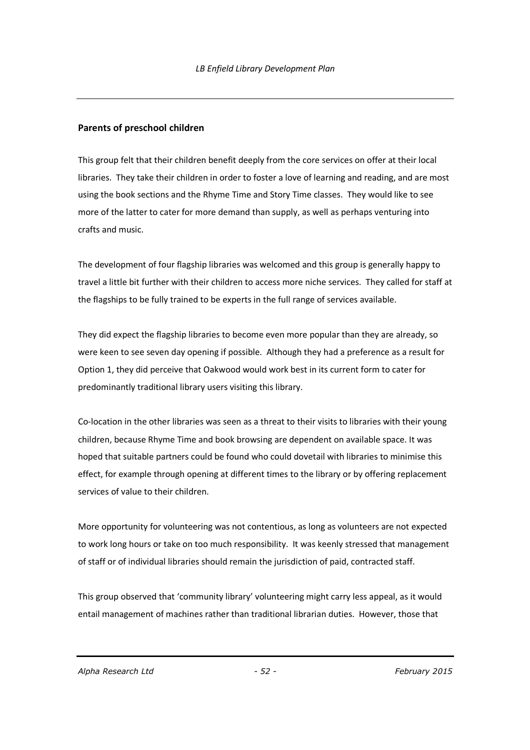#### **Parents of preschool children**

This group felt that their children benefit deeply from the core services on offer at their local libraries. They take their children in order to foster a love of learning and reading, and are most using the book sections and the Rhyme Time and Story Time classes. They would like to see more of the latter to cater for more demand than supply, as well as perhaps venturing into crafts and music.

The development of four flagship libraries was welcomed and this group is generally happy to travel a little bit further with their children to access more niche services. They called for staff at the flagships to be fully trained to be experts in the full range of services available.

They did expect the flagship libraries to become even more popular than they are already, so were keen to see seven day opening if possible. Although they had a preference as a result for Option 1, they did perceive that Oakwood would work best in its current form to cater for predominantly traditional library users visiting this library.

Co-location in the other libraries was seen as a threat to their visits to libraries with their young children, because Rhyme Time and book browsing are dependent on available space. It was hoped that suitable partners could be found who could dovetail with libraries to minimise this effect, for example through opening at different times to the library or by offering replacement services of value to their children.

More opportunity for volunteering was not contentious, as long as volunteers are not expected to work long hours or take on too much responsibility. It was keenly stressed that management of staff or of individual libraries should remain the jurisdiction of paid, contracted staff.

This group observed that 'community library' volunteering might carry less appeal, as it would entail management of machines rather than traditional librarian duties. However, those that

*Alpha Research Ltd - 52 - February 2015*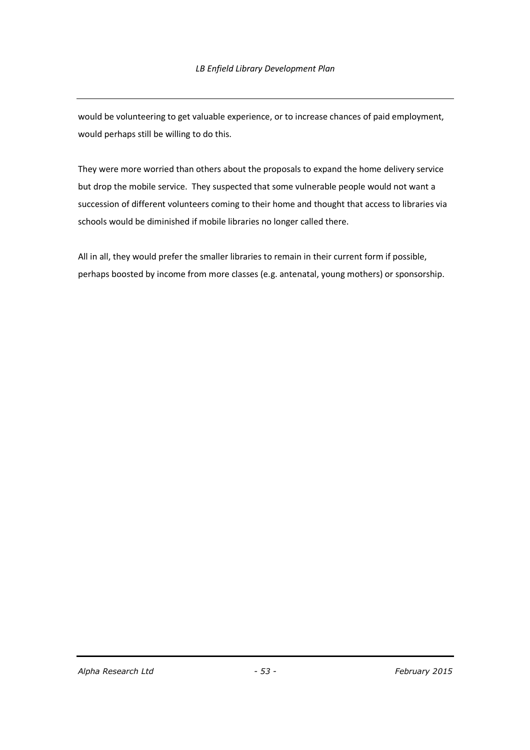would be volunteering to get valuable experience, or to increase chances of paid employment, would perhaps still be willing to do this.

They were more worried than others about the proposals to expand the home delivery service but drop the mobile service. They suspected that some vulnerable people would not want a succession of different volunteers coming to their home and thought that access to libraries via schools would be diminished if mobile libraries no longer called there.

All in all, they would prefer the smaller libraries to remain in their current form if possible, perhaps boosted by income from more classes (e.g. antenatal, young mothers) or sponsorship.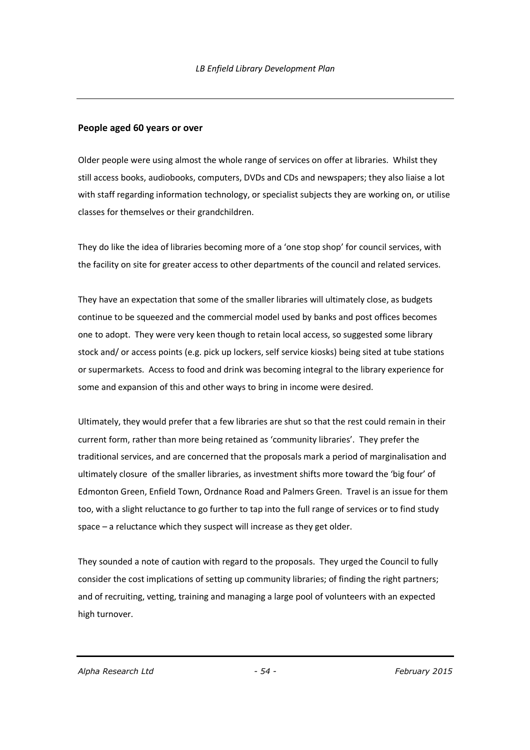#### **People aged 60 years or over**

Older people were using almost the whole range of services on offer at libraries. Whilst they still access books, audiobooks, computers, DVDs and CDs and newspapers; they also liaise a lot with staff regarding information technology, or specialist subjects they are working on, or utilise classes for themselves or their grandchildren.

They do like the idea of libraries becoming more of a 'one stop shop' for council services, with the facility on site for greater access to other departments of the council and related services.

They have an expectation that some of the smaller libraries will ultimately close, as budgets continue to be squeezed and the commercial model used by banks and post offices becomes one to adopt. They were very keen though to retain local access, so suggested some library stock and/ or access points (e.g. pick up lockers, self service kiosks) being sited at tube stations or supermarkets. Access to food and drink was becoming integral to the library experience for some and expansion of this and other ways to bring in income were desired.

Ultimately, they would prefer that a few libraries are shut so that the rest could remain in their current form, rather than more being retained as 'community libraries'. They prefer the traditional services, and are concerned that the proposals mark a period of marginalisation and ultimately closure of the smaller libraries, as investment shifts more toward the 'big four' of Edmonton Green, Enfield Town, Ordnance Road and Palmers Green. Travel is an issue for them too, with a slight reluctance to go further to tap into the full range of services or to find study space – a reluctance which they suspect will increase as they get older.

They sounded a note of caution with regard to the proposals. They urged the Council to fully consider the cost implications of setting up community libraries; of finding the right partners; and of recruiting, vetting, training and managing a large pool of volunteers with an expected high turnover.

*Alpha Research Ltd - 54 - February 2015*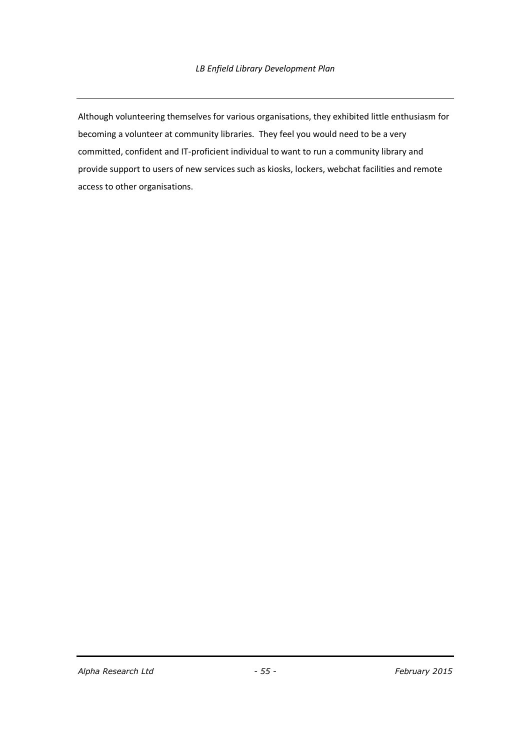Although volunteering themselves for various organisations, they exhibited little enthusiasm for becoming a volunteer at community libraries. They feel you would need to be a very committed, confident and IT-proficient individual to want to run a community library and provide support to users of new services such as kiosks, lockers, webchat facilities and remote access to other organisations.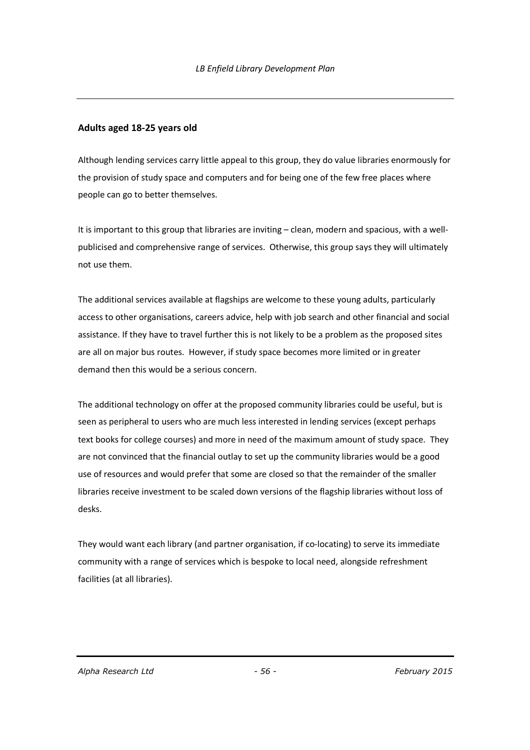#### **Adults aged 18-25 years old**

Although lending services carry little appeal to this group, they do value libraries enormously for the provision of study space and computers and for being one of the few free places where people can go to better themselves.

It is important to this group that libraries are inviting – clean, modern and spacious, with a wellpublicised and comprehensive range of services. Otherwise, this group says they will ultimately not use them.

The additional services available at flagships are welcome to these young adults, particularly access to other organisations, careers advice, help with job search and other financial and social assistance. If they have to travel further this is not likely to be a problem as the proposed sites are all on major bus routes. However, if study space becomes more limited or in greater demand then this would be a serious concern.

The additional technology on offer at the proposed community libraries could be useful, but is seen as peripheral to users who are much less interested in lending services (except perhaps text books for college courses) and more in need of the maximum amount of study space. They are not convinced that the financial outlay to set up the community libraries would be a good use of resources and would prefer that some are closed so that the remainder of the smaller libraries receive investment to be scaled down versions of the flagship libraries without loss of desks.

They would want each library (and partner organisation, if co-locating) to serve its immediate community with a range of services which is bespoke to local need, alongside refreshment facilities (at all libraries).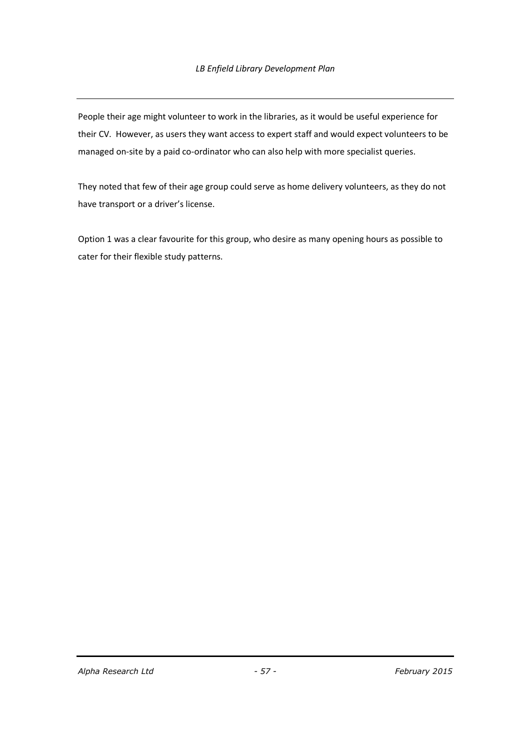People their age might volunteer to work in the libraries, as it would be useful experience for their CV. However, as users they want access to expert staff and would expect volunteers to be managed on-site by a paid co-ordinator who can also help with more specialist queries.

They noted that few of their age group could serve as home delivery volunteers, as they do not have transport or a driver's license.

Option 1 was a clear favourite for this group, who desire as many opening hours as possible to cater for their flexible study patterns.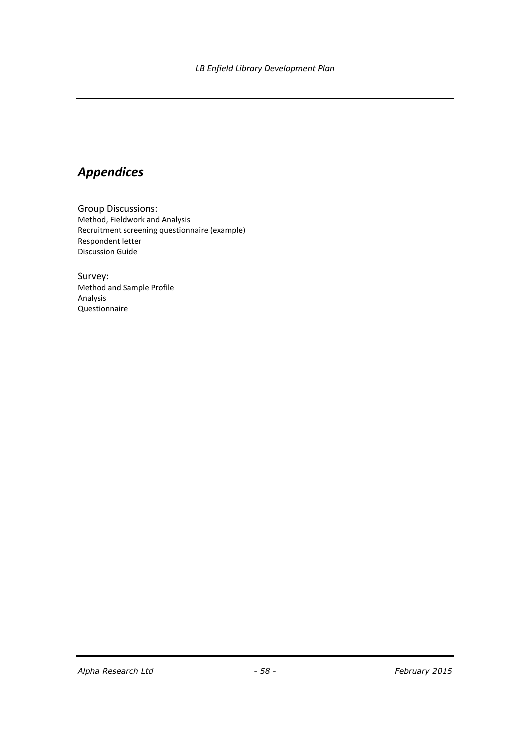# *Appendices*

Group Discussions: Method, Fieldwork and Analysis Recruitment screening questionnaire (example) Respondent letter Discussion Guide

Survey: Method and Sample Profile Analysis Questionnaire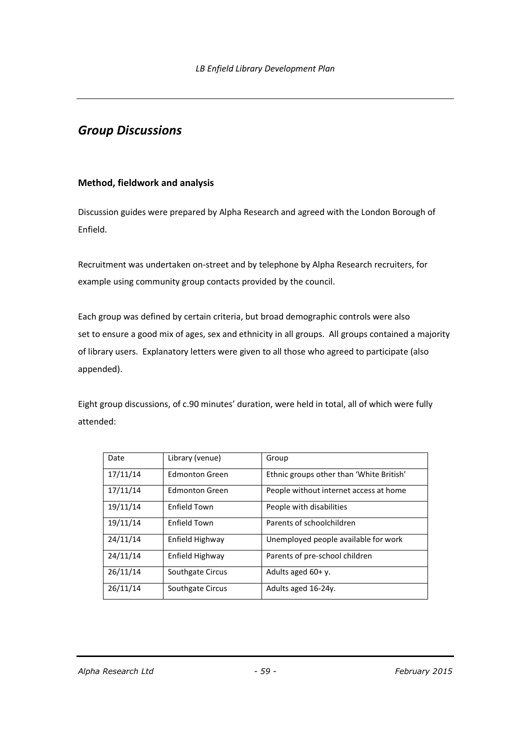# *Group Discussions*

#### **Method, fieldwork and analysis**

Discussion guides were prepared by Alpha Research and agreed with the London Borough of Enfield.

Recruitment was undertaken on-street and by telephone by Alpha Research recruiters, for example using community group contacts provided by the council.

Each group was defined by certain criteria, but broad demographic controls were also set to ensure a good mix of ages, sex and ethnicity in all groups. All groups contained a majority of library users. Explanatory letters were given to all those who agreed to participate (also appended).

Eight group discussions, of c.90 minutes' duration, were held in total, all of which were fully attended:

| Date     | Library (venue)       | Group                                    |
|----------|-----------------------|------------------------------------------|
| 17/11/14 | <b>Edmonton Green</b> | Ethnic groups other than 'White British' |
| 17/11/14 | <b>Edmonton Green</b> | People without internet access at home   |
| 19/11/14 | Enfield Town          | People with disabilities                 |
| 19/11/14 | <b>Fnfield Town</b>   | Parents of schoolchildren                |
| 24/11/14 | Enfield Highway       | Unemployed people available for work     |
| 24/11/14 | Enfield Highway       | Parents of pre-school children           |
| 26/11/14 | Southgate Circus      | Adults aged $60+$ y.                     |
| 26/11/14 | Southgate Circus      | Adults aged 16-24y.                      |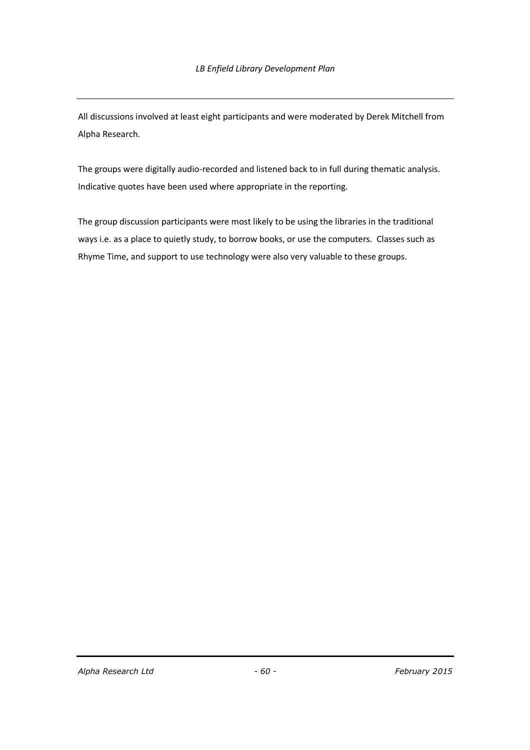All discussions involved at least eight participants and were moderated by Derek Mitchell from Alpha Research.

The groups were digitally audio-recorded and listened back to in full during thematic analysis. Indicative quotes have been used where appropriate in the reporting.

The group discussion participants were most likely to be using the libraries in the traditional ways i.e. as a place to quietly study, to borrow books, or use the computers. Classes such as Rhyme Time, and support to use technology were also very valuable to these groups.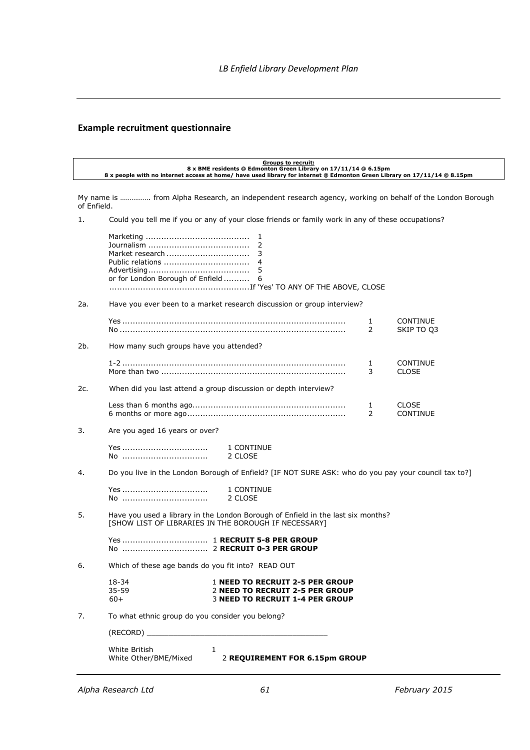# **Example recruitment questionnaire**

| <b>Groups to recruit:</b><br>8 x BME residents @ Edmonton Green Library on 17/11/14 @ 6.15pm<br>8 x people with no internet access at home/ have used library for internet @ Edmonton Green Library on 17/11/14 @ 8.15pm |                                                                                                                                          |                                                                                                       |                                |                               |
|--------------------------------------------------------------------------------------------------------------------------------------------------------------------------------------------------------------------------|------------------------------------------------------------------------------------------------------------------------------------------|-------------------------------------------------------------------------------------------------------|--------------------------------|-------------------------------|
| My name is  from Alpha Research, an independent research agency, working on behalf of the London Borough                                                                                                                 |                                                                                                                                          |                                                                                                       |                                |                               |
| of Enfield.                                                                                                                                                                                                              |                                                                                                                                          |                                                                                                       |                                |                               |
| 1.                                                                                                                                                                                                                       | Could you tell me if you or any of your close friends or family work in any of these occupations?                                        |                                                                                                       |                                |                               |
|                                                                                                                                                                                                                          | Market research<br>Public relations<br>or for London Borough of Enfield                                                                  | 1<br>2<br>3<br>5<br>6                                                                                 |                                |                               |
| 2a.                                                                                                                                                                                                                      |                                                                                                                                          | Have you ever been to a market research discussion or group interview?                                |                                |                               |
|                                                                                                                                                                                                                          |                                                                                                                                          |                                                                                                       | $\mathbf{1}$<br>$\overline{2}$ | <b>CONTINUE</b><br>SKIP TO Q3 |
| 2b.                                                                                                                                                                                                                      | How many such groups have you attended?                                                                                                  |                                                                                                       |                                |                               |
|                                                                                                                                                                                                                          |                                                                                                                                          |                                                                                                       | 1<br>3                         | CONTINUE<br><b>CLOSE</b>      |
| 2c.                                                                                                                                                                                                                      | When did you last attend a group discussion or depth interview?                                                                          |                                                                                                       |                                |                               |
|                                                                                                                                                                                                                          |                                                                                                                                          |                                                                                                       | 1<br>2                         | <b>CLOSE</b><br>CONTINUE      |
| 3.                                                                                                                                                                                                                       | Are you aged 16 years or over?                                                                                                           |                                                                                                       |                                |                               |
|                                                                                                                                                                                                                          | Yes<br>No                                                                                                                                | 1 CONTINUE<br>2 CLOSE                                                                                 |                                |                               |
| 4.                                                                                                                                                                                                                       |                                                                                                                                          | Do you live in the London Borough of Enfield? [IF NOT SURE ASK: who do you pay your council tax to?]  |                                |                               |
|                                                                                                                                                                                                                          | Yes<br>No                                                                                                                                | 1 CONTINUE<br>2 CLOSE                                                                                 |                                |                               |
| 5.                                                                                                                                                                                                                       | Have you used a library in the London Borough of Enfield in the last six months?<br>[SHOW LIST OF LIBRARIES IN THE BOROUGH IF NECESSARY] |                                                                                                       |                                |                               |
|                                                                                                                                                                                                                          |                                                                                                                                          |                                                                                                       |                                |                               |
| 6.                                                                                                                                                                                                                       | Which of these age bands do you fit into? READ OUT                                                                                       |                                                                                                       |                                |                               |
|                                                                                                                                                                                                                          | 18-34<br>$35 - 59$<br>$60+$                                                                                                              | 1 NEED TO RECRUIT 2-5 PER GROUP<br>2 NEED TO RECRUIT 2-5 PER GROUP<br>3 NEED TO RECRUIT 1-4 PER GROUP |                                |                               |
| 7.                                                                                                                                                                                                                       |                                                                                                                                          | To what ethnic group do you consider you belong?                                                      |                                |                               |
|                                                                                                                                                                                                                          | (RECORD)                                                                                                                                 |                                                                                                       |                                |                               |
|                                                                                                                                                                                                                          | White British<br>White Other/BME/Mixed                                                                                                   | 1<br>2 REQUIREMENT FOR 6.15pm GROUP                                                                   |                                |                               |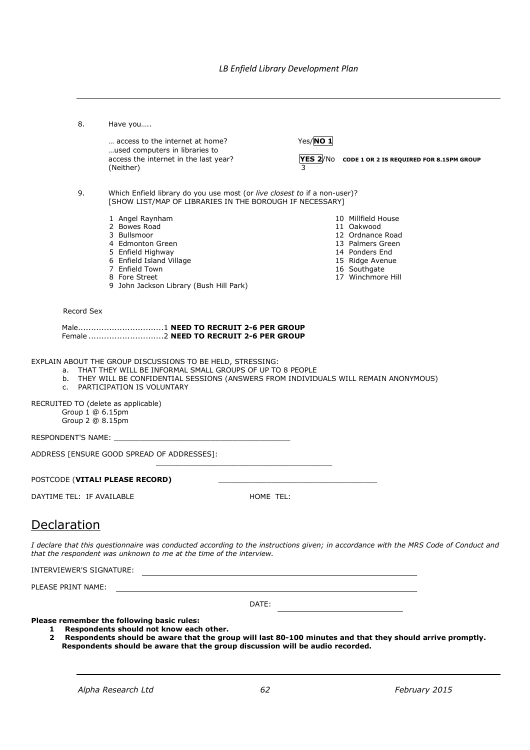|                           | 8.               | Have you                                                                                                                                                                                                                                                                                     |                                  |                                                                                                                                                    |
|---------------------------|------------------|----------------------------------------------------------------------------------------------------------------------------------------------------------------------------------------------------------------------------------------------------------------------------------------------|----------------------------------|----------------------------------------------------------------------------------------------------------------------------------------------------|
|                           |                  | access to the internet at home?<br>used computers in libraries to<br>access the internet in the last year?<br>(Neither)                                                                                                                                                                      | Yes/NO 1<br><b>YES 2/No</b><br>3 | CODE 1 OR 2 IS REQUIRED FOR 8.15PM GROUP                                                                                                           |
|                           | 9.               | Which Enfield library do you use most (or live closest to if a non-user)?<br>[SHOW LIST/MAP OF LIBRARIES IN THE BOROUGH IF NECESSARY]                                                                                                                                                        |                                  |                                                                                                                                                    |
|                           |                  | 1 Angel Raynham<br>2 Bowes Road<br>3 Bullsmoor<br>4 Edmonton Green<br>5 Enfield Highway<br>6 Enfield Island Village<br>7 Enfield Town<br>8 Fore Street<br>9 John Jackson Library (Bush Hill Park)                                                                                            |                                  | 10 Millfield House<br>11 Oakwood<br>12 Ordnance Road<br>13 Palmers Green<br>14 Ponders End<br>15 Ridge Avenue<br>16 Southgate<br>17 Winchmore Hill |
|                           | Record Sex       |                                                                                                                                                                                                                                                                                              |                                  |                                                                                                                                                    |
|                           |                  |                                                                                                                                                                                                                                                                                              |                                  |                                                                                                                                                    |
|                           | Group 1 @ 6.15pm | EXPLAIN ABOUT THE GROUP DISCUSSIONS TO BE HELD, STRESSING:<br>a. THAT THEY WILL BE INFORMAL SMALL GROUPS OF UP TO 8 PEOPLE<br>b. THEY WILL BE CONFIDENTIAL SESSIONS (ANSWERS FROM INDIVIDUALS WILL REMAIN ANONYMOUS)<br>C. PARTICIPATION IS VOLUNTARY<br>RECRUITED TO (delete as applicable) |                                  |                                                                                                                                                    |
|                           | Group 2 @ 8.15pm |                                                                                                                                                                                                                                                                                              |                                  |                                                                                                                                                    |
|                           |                  | RESPONDENT'S NAME: The contract of the contract of the contract of the contract of the contract of the contract of the contract of the contract of the contract of the contract of the contract of the contract of the contrac<br>ADDRESS [ENSURE GOOD SPREAD OF ADDRESSES]:                 |                                  |                                                                                                                                                    |
|                           |                  | POSTCODE (VITAL! PLEASE RECORD)                                                                                                                                                                                                                                                              |                                  |                                                                                                                                                    |
| DAYTIME TEL: IF AVAILABLE |                  | HOME TEL:                                                                                                                                                                                                                                                                                    |                                  |                                                                                                                                                    |
| <b>Declaration</b>        |                  |                                                                                                                                                                                                                                                                                              |                                  |                                                                                                                                                    |
|                           |                  | I declare that this questionnaire was conducted according to the instructions given; in accordance with the MRS Code of Conduct and<br>that the respondent was unknown to me at the time of the interview.                                                                                   |                                  |                                                                                                                                                    |
| INTERVIEWER'S SIGNATURE:  |                  |                                                                                                                                                                                                                                                                                              |                                  |                                                                                                                                                    |
| PLEASE PRINT NAME:        |                  |                                                                                                                                                                                                                                                                                              |                                  |                                                                                                                                                    |
|                           |                  | DATE:                                                                                                                                                                                                                                                                                        |                                  |                                                                                                                                                    |
|                           |                  | Please remember the following basic rules:                                                                                                                                                                                                                                                   |                                  |                                                                                                                                                    |

- **1 Respondents should not know each other.**
- **2 Respondents should be aware that the group will last 80-100 minutes and that they should arrive promptly. Respondents should be aware that the group discussion will be audio recorded.**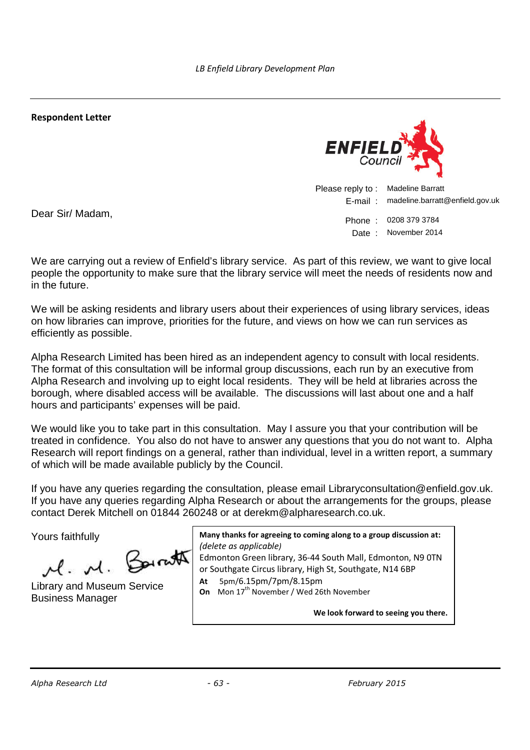**Respondent Letter**

Dear Sir/ Madam,



Please reply to : Madeline Barratt E-mail : madeline.barratt@enfield.gov.uk Phone : 0208 379 3784 Date : November 2014

We are carrying out a review of Enfield's library service. As part of this review, we want to give local people the opportunity to make sure that the library service will meet the needs of residents now and in the future.

We will be asking residents and library users about their experiences of using library services, ideas on how libraries can improve, priorities for the future, and views on how we can run services as efficiently as possible.

Alpha Research Limited has been hired as an independent agency to consult with local residents. The format of this consultation will be informal group discussions, each run by an executive from Alpha Research and involving up to eight local residents. They will be held at libraries across the borough, where disabled access will be available. The discussions will last about one and a half hours and participants' expenses will be paid.

We would like you to take part in this consultation. May I assure you that your contribution will be treated in confidence. You also do not have to answer any questions that you do not want to. Alpha Research will report findings on a general, rather than individual, level in a written report, a summary of which will be made available publicly by the Council.

If you have any queries regarding the consultation, please email Libraryconsultation@enfield.gov.uk. If you have any queries regarding Alpha Research or about the arrangements for the groups, please contact Derek Mitchell on 01844 260248 or at derekm@alpharesearch.co.uk.

Yours faithfully

M. M. Borrath

Library and Museum Service Business Manager

**Many thanks for agreeing to coming along to a group discussion at:** *(delete as applicable)* Edmonton Green library, 36-44 South Mall, Edmonton, N9 0TN or Southgate Circus library, High St, Southgate, N14 6BP **At** 5pm/6.15pm/7pm/8.15pm **On** Mon 17<sup>th</sup> November / Wed 26th November

**We look forward to seeing you there.**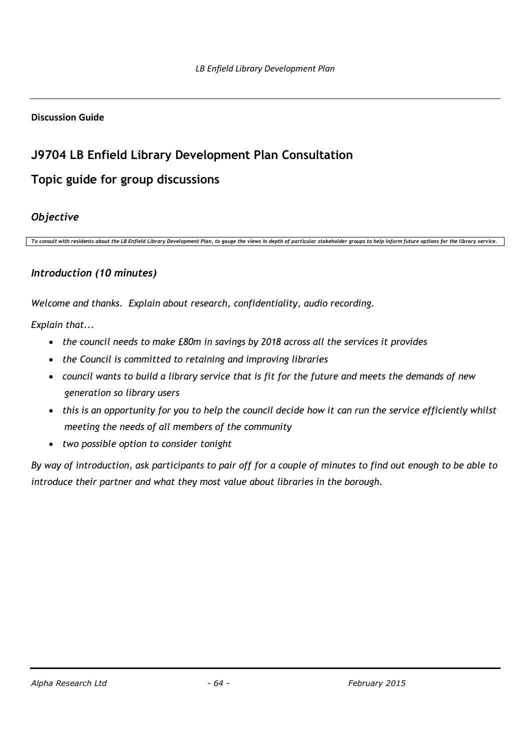#### **Discussion Guide**

# **J9704 LB Enfield Library Development Plan Consultation**

## **Topic guide for group discussions**

### *Objective*

*To consult with residents about the LB Enfield Library Development Plan, to gauge the views in depth of particular stakeholder groups to help inform future options for the library service.*

### *Introduction (10 minutes)*

*Welcome and thanks. Explain about research, confidentiality, audio recording.*

*Explain that...*

- *the council needs to make £80m in savings by 2018 across all the services it provides*
- *the Council is committed to retaining and improving libraries*
- *council wants to build a library service that is fit for the future and meets the demands of new generation so library users*
- *this is an opportunity for you to help the council decide how it can run the service efficiently whilst meeting the needs of all members of the community*
- *two possible option to consider tonight*

*By way of introduction, ask participants to pair off for a couple of minutes to find out enough to be able to introduce their partner and what they most value about libraries in the borough.*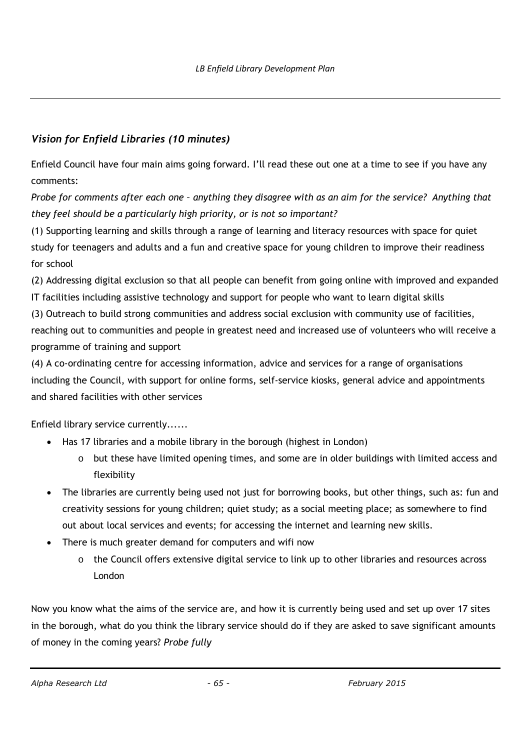# *Vision for Enfield Libraries (10 minutes)*

Enfield Council have four main aims going forward. I'll read these out one at a time to see if you have any comments:

*Probe for comments after each one – anything they disagree with as an aim for the service? Anything that they feel should be a particularly high priority, or is not so important?*

(1) Supporting learning and skills through a range of learning and literacy resources with space for quiet study for teenagers and adults and a fun and creative space for young children to improve their readiness for school

(2) Addressing digital exclusion so that all people can benefit from going online with improved and expanded IT facilities including assistive technology and support for people who want to learn digital skills

(3) Outreach to build strong communities and address social exclusion with community use of facilities, reaching out to communities and people in greatest need and increased use of volunteers who will receive a programme of training and support

(4) A co-ordinating centre for accessing information, advice and services for a range of organisations including the Council, with support for online forms, self-service kiosks, general advice and appointments and shared facilities with other services

Enfield library service currently......

- Has 17 libraries and a mobile library in the borough (highest in London)
	- $\circ$  but these have limited opening times, and some are in older buildings with limited access and flexibility
- The libraries are currently being used not just for borrowing books, but other things, such as: fun and creativity sessions for young children; quiet study; as a social meeting place; as somewhere to find out about local services and events; for accessing the internet and learning new skills.
- There is much greater demand for computers and wifi now
	- $\circ$  the Council offers extensive digital service to link up to other libraries and resources across London

Now you know what the aims of the service are, and how it is currently being used and set up over 17 sites in the borough, what do you think the library service should do if they are asked to save significant amounts of money in the coming years? *Probe fully*

*Alpha Research Ltd - 65 - February 2015*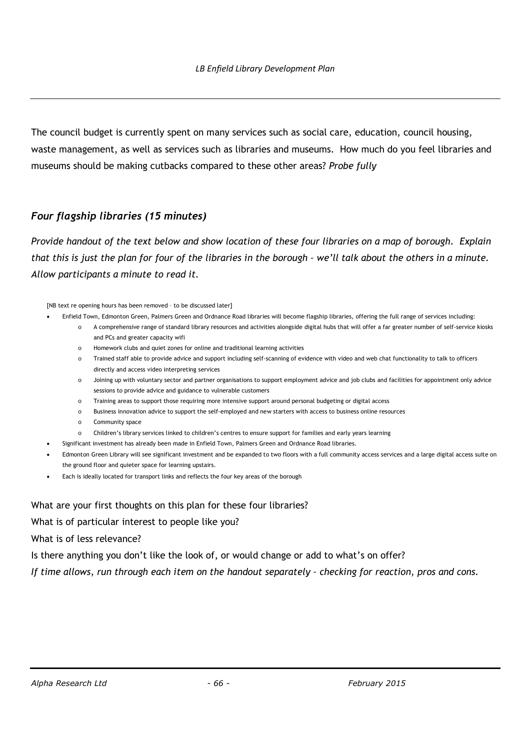The council budget is currently spent on many services such as social care, education, council housing, waste management, as well as services such as libraries and museums. How much do you feel libraries and museums should be making cutbacks compared to these other areas? *Probe fully*

## *Four flagship libraries (15 minutes)*

*Provide handout of the text below and show location of these four libraries on a map of borough. Explain that this is just the plan for four of the libraries in the borough – we'll talk about the others in a minute. Allow participants a minute to read it.*

[NB text re opening hours has been removed – to be discussed later]

- Enfield Town, Edmonton Green, Palmers Green and Ordnance Road libraries will become flagship libraries, offering the full range of services including:
	- o A comprehensive range of standard library resources and activities alongside digital hubs that will offer a far greater number of self-service kiosks and PCs and greater capacity wifi
	- o Homework clubs and quiet zones for online and traditional learning activities
	- o Trained staff able to provide advice and support including self-scanning of evidence with video and web chat functionality to talk to officers directly and access video interpreting services
	- o Joining up with voluntary sector and partner organisations to support employment advice and job clubs and facilities for appointment only advice sessions to provide advice and guidance to vulnerable customers
	- o Training areas to support those requiring more intensive support around personal budgeting or digital access
	- o Business innovation advice to support the self-employed and new starters with access to business online resources
	- o Community space
	- o Children's library services linked to children's centres to ensure support for families and early years learning
- Significant investment has already been made in Enfield Town, Palmers Green and Ordnance Road libraries.
- Edmonton Green Library will see significant investment and be expanded to two floors with a full community access services and a large digital access suite on the ground floor and quieter space for learning upstairs.
- Each is ideally located for transport links and reflects the four key areas of the borough

What are your first thoughts on this plan for these four libraries?

What is of particular interest to people like you?

What is of less relevance?

Is there anything you don't like the look of, or would change or add to what's on offer?

*If time allows, run through each item on the handout separately – checking for reaction, pros and cons.*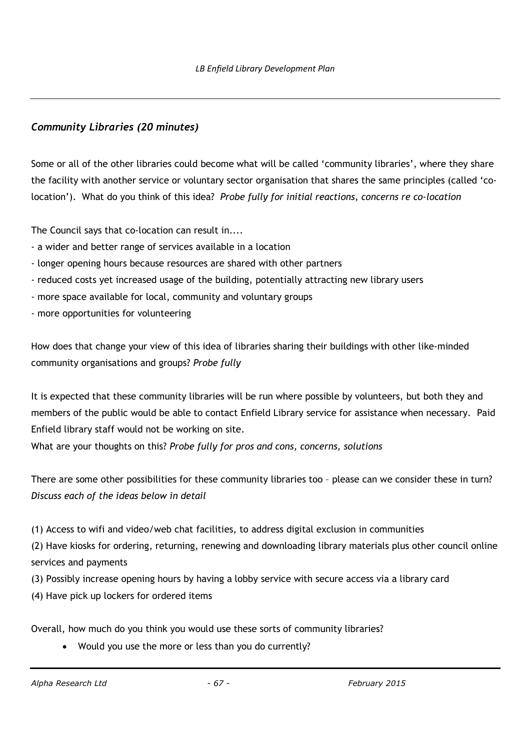## *Community Libraries (20 minutes)*

Some or all of the other libraries could become what will be called 'community libraries', where they share the facility with another service or voluntary sector organisation that shares the same principles (called 'colocation'). What do you think of this idea? *Probe fully for initial reactions, concerns re co-location*

The Council says that co-location can result in....

- a wider and better range of services available in a location
- longer opening hours because resources are shared with other partners
- reduced costs yet increased usage of the building, potentially attracting new library users
- more space available for local, community and voluntary groups
- more opportunities for volunteering

How does that change your view of this idea of libraries sharing their buildings with other like-minded community organisations and groups? *Probe fully*

It is expected that these community libraries will be run where possible by volunteers, but both they and members of the public would be able to contact Enfield Library service for assistance when necessary. Paid Enfield library staff would not be working on site.

What are your thoughts on this? *Probe fully for pros and cons, concerns, solutions*

There are some other possibilities for these community libraries too – please can we consider these in turn? *Discuss each of the ideas below in detail*

(1) Access to wifi and video/web chat facilities, to address digital exclusion in communities

(2) Have kiosks for ordering, returning, renewing and downloading library materials plus other council online services and payments

- (3) Possibly increase opening hours by having a lobby service with secure access via a library card
- (4) Have pick up lockers for ordered items

Overall, how much do you think you would use these sorts of community libraries?

Would you use the more or less than you do currently?

*Alpha Research Ltd - 67 - February 2015*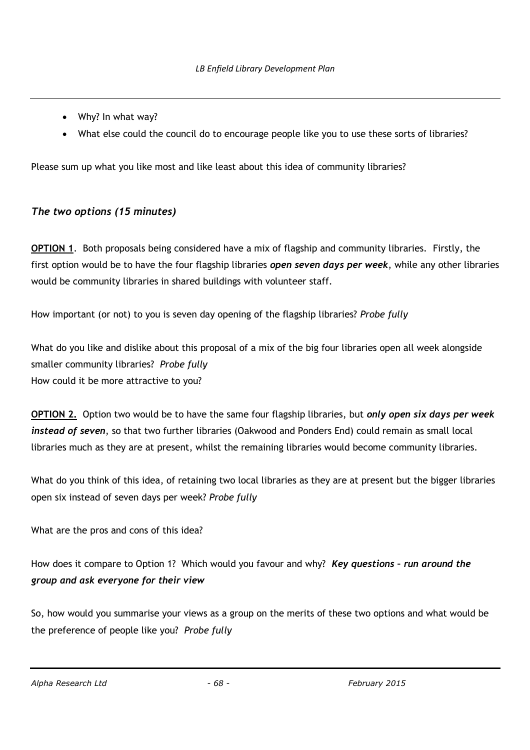- Why? In what way?
- What else could the council do to encourage people like you to use these sorts of libraries?

Please sum up what you like most and like least about this idea of community libraries?

#### *The two options (15 minutes)*

**OPTION 1**. Both proposals being considered have a mix of flagship and community libraries. Firstly, the first option would be to have the four flagship libraries *open seven days per week*, while any other libraries would be community libraries in shared buildings with volunteer staff.

How important (or not) to you is seven day opening of the flagship libraries? *Probe fully*

What do you like and dislike about this proposal of a mix of the big four libraries open all week alongside smaller community libraries? *Probe fully* How could it be more attractive to you?

**OPTION 2.** Option two would be to have the same four flagship libraries, but *only open six days per week instead of seven*, so that two further libraries (Oakwood and Ponders End) could remain as small local libraries much as they are at present, whilst the remaining libraries would become community libraries.

What do you think of this idea, of retaining two local libraries as they are at present but the bigger libraries open six instead of seven days per week? *Probe fully*

What are the pros and cons of this idea?

How does it compare to Option 1? Which would you favour and why? *Key questions – run around the group and ask everyone for their view*

So, how would you summarise your views as a group on the merits of these two options and what would be the preference of people like you? *Probe fully*

*Alpha Research Ltd - 68 - February 2015*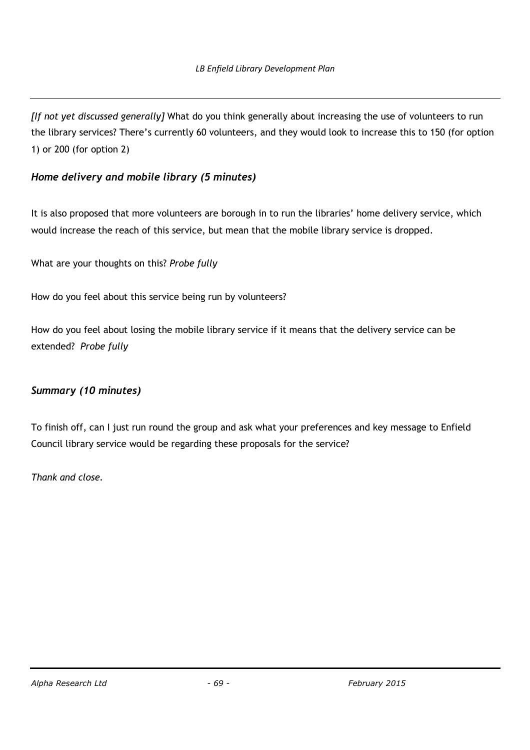*[If not yet discussed generally]* What do you think generally about increasing the use of volunteers to run the library services? There's currently 60 volunteers, and they would look to increase this to 150 (for option 1) or 200 (for option 2)

## *Home delivery and mobile library (5 minutes)*

It is also proposed that more volunteers are borough in to run the libraries' home delivery service, which would increase the reach of this service, but mean that the mobile library service is dropped.

What are your thoughts on this? *Probe fully*

How do you feel about this service being run by volunteers?

How do you feel about losing the mobile library service if it means that the delivery service can be extended? *Probe fully*

## *Summary (10 minutes)*

To finish off, can I just run round the group and ask what your preferences and key message to Enfield Council library service would be regarding these proposals for the service?

*Thank and close.*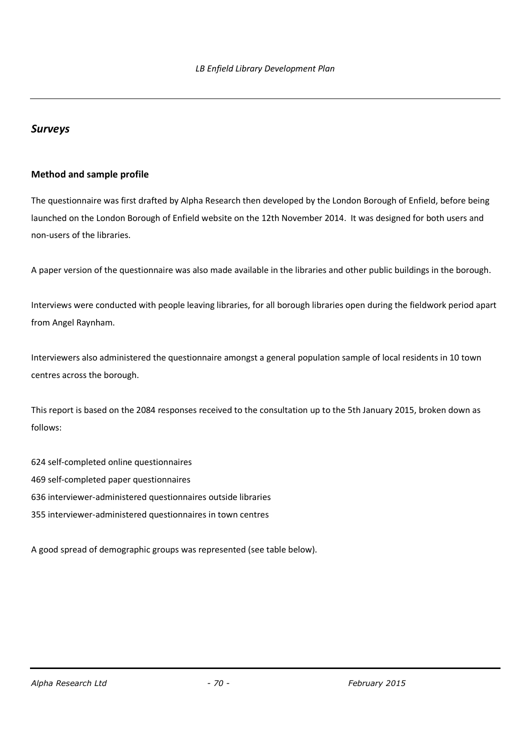### *Surveys*

#### **Method and sample profile**

The questionnaire was first drafted by Alpha Research then developed by the London Borough of Enfield, before being launched on the London Borough of Enfield website on the 12th November 2014. It was designed for both users and non-users of the libraries.

A paper version of the questionnaire was also made available in the libraries and other public buildings in the borough.

Interviews were conducted with people leaving libraries, for all borough libraries open during the fieldwork period apart from Angel Raynham.

Interviewers also administered the questionnaire amongst a general population sample of local residents in 10 town centres across the borough.

This report is based on the 2084 responses received to the consultation up to the 5th January 2015, broken down as follows:

624 self-completed online questionnaires 469 self-completed paper questionnaires 636 interviewer-administered questionnaires outside libraries 355 interviewer-administered questionnaires in town centres

A good spread of demographic groups was represented (see table below).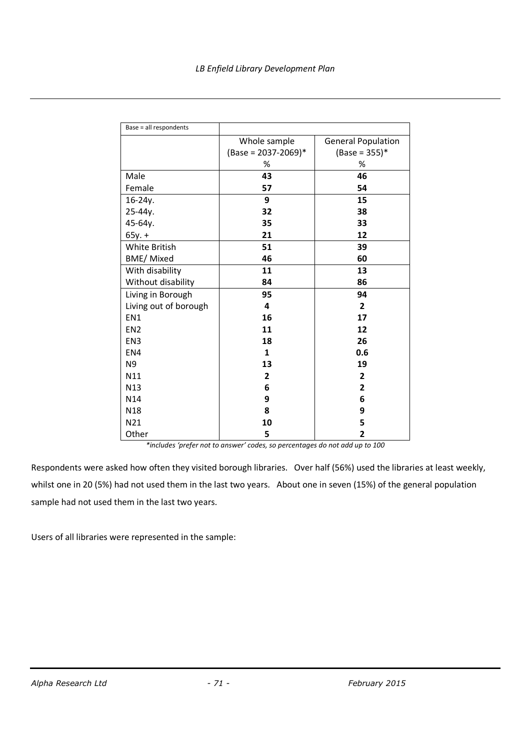| Base = all respondents |                         |                           |
|------------------------|-------------------------|---------------------------|
|                        | Whole sample            | <b>General Population</b> |
|                        | $(Base = 2037 - 2069)*$ | $(Base = 355)*$           |
|                        | $\%$                    | %                         |
| Male                   | 43                      | 46                        |
| Female                 | 57                      | 54                        |
| 16-24y.                | 9                       | 15                        |
| 25-44y.                | 32                      | 38                        |
| 45-64y.                | 35                      | 33                        |
| $65y. +$               | 21                      | 12                        |
| <b>White British</b>   | 51                      | 39                        |
| <b>BME/Mixed</b>       | 46                      | 60                        |
| With disability        | 11                      | 13                        |
| Without disability     | 84                      | 86                        |
| Living in Borough      | 95                      | 94                        |
| Living out of borough  | 4                       | $\mathbf{2}$              |
| EN1                    | 16                      | 17                        |
| EN <sub>2</sub>        | 11                      | 12                        |
| EN <sub>3</sub>        | 18                      | 26                        |
| EN4                    | $\mathbf{1}$            | 0.6                       |
| N <sub>9</sub>         | 13                      | 19                        |
| N11                    | $\overline{2}$          | 2                         |
| N13                    | 6                       | $\overline{2}$            |
| N14                    | 9                       | 6                         |
| N <sub>18</sub>        | 8                       | 9                         |
| N21                    | 10                      | 5                         |
| Other                  | 5                       | 2                         |

*\*includes 'prefer not to answer' codes, so percentages do not add up to 100*

Respondents were asked how often they visited borough libraries. Over half (56%) used the libraries at least weekly, whilst one in 20 (5%) had not used them in the last two years. About one in seven (15%) of the general population sample had not used them in the last two years.

Users of all libraries were represented in the sample: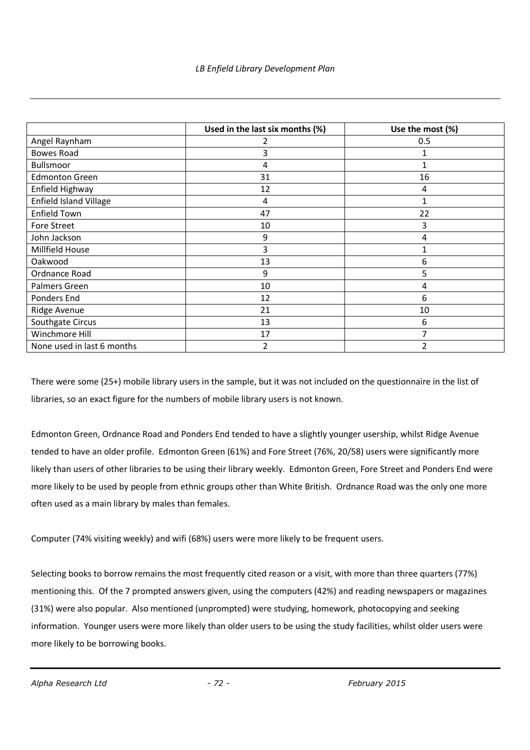|                            | Used in the last six months (%) | Use the most (%) |
|----------------------------|---------------------------------|------------------|
| Angel Raynham              |                                 | 0.5              |
| <b>Bowes Road</b>          | 3                               | 1                |
| Bullsmoor                  | 4                               | $\mathbf{1}$     |
| <b>Edmonton Green</b>      | 31                              | 16               |
| Enfield Highway            | 12                              | 4                |
| Enfield Island Village     | 4                               | 1                |
| Enfield Town               | 47                              | 22               |
| Fore Street                | 10                              | 3                |
| John Jackson               | 9                               | 4                |
| Millfield House            | 3                               | $\mathbf{1}$     |
| Oakwood                    | 13                              | 6                |
| Ordnance Road              | 9                               | 5                |
| Palmers Green              | 10                              | 4                |
| Ponders End                | 12                              | 6                |
| Ridge Avenue               | 21                              | 10               |
| Southgate Circus           | 13                              | 6                |
| Winchmore Hill             | 17                              | 7                |
| None used in last 6 months |                                 | ำ                |

There were some (25+) mobile library users in the sample, but it was not included on the questionnaire in the list of libraries, so an exact figure for the numbers of mobile library users is not known.

Edmonton Green, Ordnance Road and Ponders End tended to have a slightly younger usership, whilst Ridge Avenue tended to have an older profile. Edmonton Green (61%) and Fore Street (76%, 20/58) users were significantly more likely than users of other libraries to be using their library weekly. Edmonton Green, Fore Street and Ponders End were more likely to be used by people from ethnic groups other than White British. Ordnance Road was the only one more often used as a main library by males than females.

Computer (74% visiting weekly) and wifi (68%) users were more likely to be frequent users.

Selecting books to borrow remains the most frequently cited reason or a visit, with more than three quarters (77%) mentioning this. Of the 7 prompted answers given, using the computers (42%) and reading newspapers or magazines (31%) were also popular. Also mentioned (unprompted) were studying, homework, photocopying and seeking information. Younger users were more likely than older users to be using the study facilities, whilst older users were more likely to be borrowing books.

*Alpha Research Ltd - 72 - February 2015*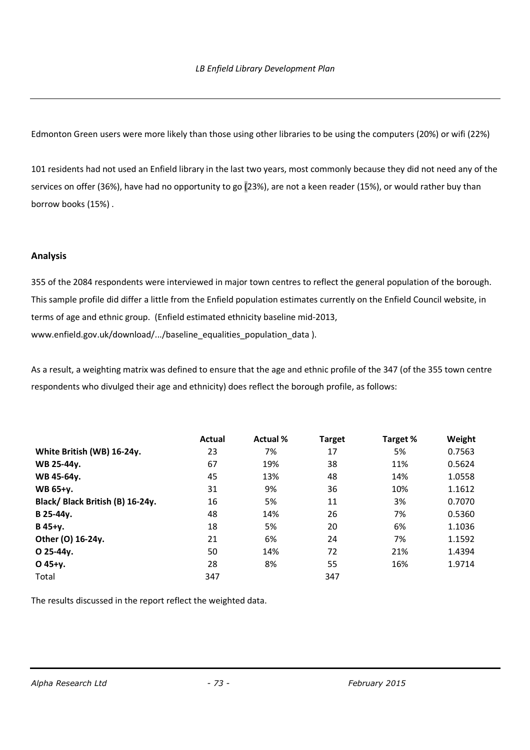Edmonton Green users were more likely than those using other libraries to be using the computers (20%) or wifi (22%)

101 residents had not used an Enfield library in the last two years, most commonly because they did not need any of the services on offer (36%), have had no opportunity to go (23%), are not a keen reader (15%), or would rather buy than borrow books (15%) .

#### **Analysis**

355 of the 2084 respondents were interviewed in major town centres to reflect the general population of the borough. This sample profile did differ a little from the Enfield population estimates currently on the Enfield Council website, in terms of age and ethnic group. (Enfield estimated ethnicity baseline mid-2013, www.enfield.gov.uk/download/.../baseline\_equalities\_population\_data ).

As a result, a weighting matrix was defined to ensure that the age and ethnic profile of the 347 (of the 355 town centre respondents who divulged their age and ethnicity) does reflect the borough profile, as follows:

|                                  | <b>Actual</b> | <b>Actual %</b> | <b>Target</b> | Target % | Weight |
|----------------------------------|---------------|-----------------|---------------|----------|--------|
| White British (WB) 16-24y.       | 23            | 7%              | 17            | 5%       | 0.7563 |
| WB 25-44y.                       | 67            | 19%             | 38            | 11%      | 0.5624 |
| WB 45-64y.                       | 45            | 13%             | 48            | 14%      | 1.0558 |
| <b>WB 65+y.</b>                  | 31            | 9%              | 36            | 10%      | 1.1612 |
| Black/ Black British (B) 16-24y. | 16            | 5%              | 11            | 3%       | 0.7070 |
| B 25-44y.                        | 48            | 14%             | 26            | 7%       | 0.5360 |
| B 45+y.                          | 18            | 5%              | 20            | 6%       | 1.1036 |
| Other (O) 16-24y.                | 21            | 6%              | 24            | 7%       | 1.1592 |
| O 25-44y.                        | 50            | 14%             | 72            | 21%      | 1.4394 |
| $O$ 45+y.                        | 28            | 8%              | 55            | 16%      | 1.9714 |
| Total                            | 347           |                 | 347           |          |        |

The results discussed in the report reflect the weighted data.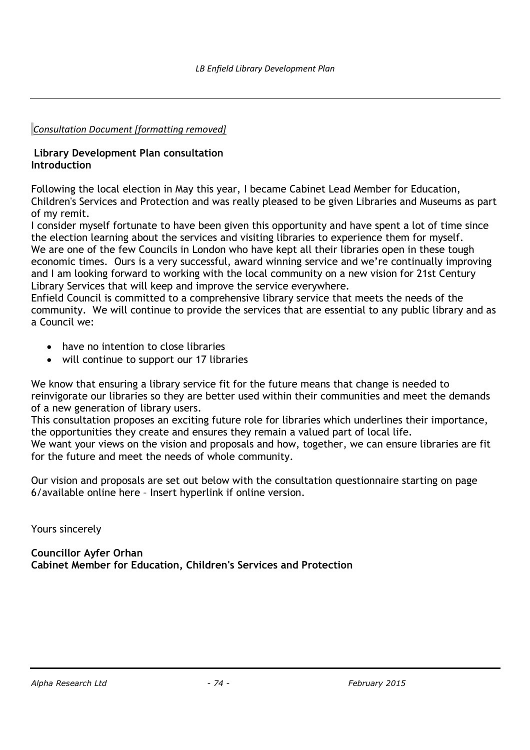*Consultation Document [formatting removed]*

## **Library Development Plan consultation Introduction**

Following the local election in May this year, I became Cabinet Lead Member for Education, Children's Services and Protection and was really pleased to be given Libraries and Museums as part of my remit.

I consider myself fortunate to have been given this opportunity and have spent a lot of time since the election learning about the services and visiting libraries to experience them for myself. We are one of the few Councils in London who have kept all their libraries open in these tough economic times. Ours is a very successful, award winning service and we're continually improving and I am looking forward to working with the local community on a new vision for 21st Century Library Services that will keep and improve the service everywhere.

Enfield Council is committed to a comprehensive library service that meets the needs of the community. We will continue to provide the services that are essential to any public library and as a Council we:

- have no intention to close libraries
- will continue to support our 17 libraries

We know that ensuring a library service fit for the future means that change is needed to reinvigorate our libraries so they are better used within their communities and meet the demands of a new generation of library users.

This consultation proposes an exciting future role for libraries which underlines their importance, the opportunities they create and ensures they remain a valued part of local life.

We want your views on the vision and proposals and how, together, we can ensure libraries are fit for the future and meet the needs of whole community.

Our vision and proposals are set out below with the consultation questionnaire starting on page 6/available online here – Insert hyperlink if online version.

Yours sincerely

**Councillor Ayfer Orhan Cabinet Member for Education, Children's Services and Protection**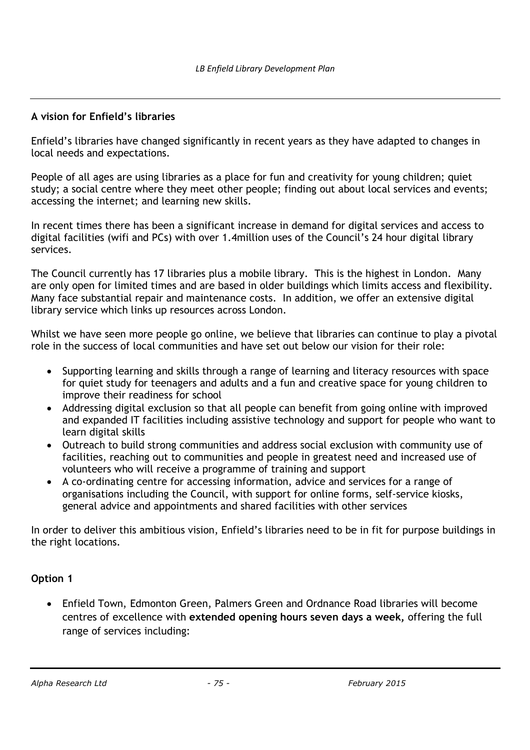# **A vision for Enfield's libraries**

Enfield's libraries have changed significantly in recent years as they have adapted to changes in local needs and expectations.

People of all ages are using libraries as a place for fun and creativity for young children; quiet study; a social centre where they meet other people; finding out about local services and events; accessing the internet; and learning new skills.

In recent times there has been a significant increase in demand for digital services and access to digital facilities (wifi and PCs) with over 1.4million uses of the Council's 24 hour digital library services.

The Council currently has 17 libraries plus a mobile library. This is the highest in London. Many are only open for limited times and are based in older buildings which limits access and flexibility. Many face substantial repair and maintenance costs. In addition, we offer an extensive digital library service which links up resources across London.

Whilst we have seen more people go online, we believe that libraries can continue to play a pivotal role in the success of local communities and have set out below our vision for their role:

- Supporting learning and skills through a range of learning and literacy resources with space for quiet study for teenagers and adults and a fun and creative space for young children to improve their readiness for school
- Addressing digital exclusion so that all people can benefit from going online with improved and expanded IT facilities including assistive technology and support for people who want to learn digital skills
- Outreach to build strong communities and address social exclusion with community use of facilities, reaching out to communities and people in greatest need and increased use of volunteers who will receive a programme of training and support
- A co-ordinating centre for accessing information, advice and services for a range of organisations including the Council, with support for online forms, self-service kiosks, general advice and appointments and shared facilities with other services

In order to deliver this ambitious vision, Enfield's libraries need to be in fit for purpose buildings in the right locations.

# **Option 1**

 Enfield Town, Edmonton Green, Palmers Green and Ordnance Road libraries will become centres of excellence with **extended opening hours seven days a week,** offering the full range of services including:

*Alpha Research Ltd - 75 - February 2015*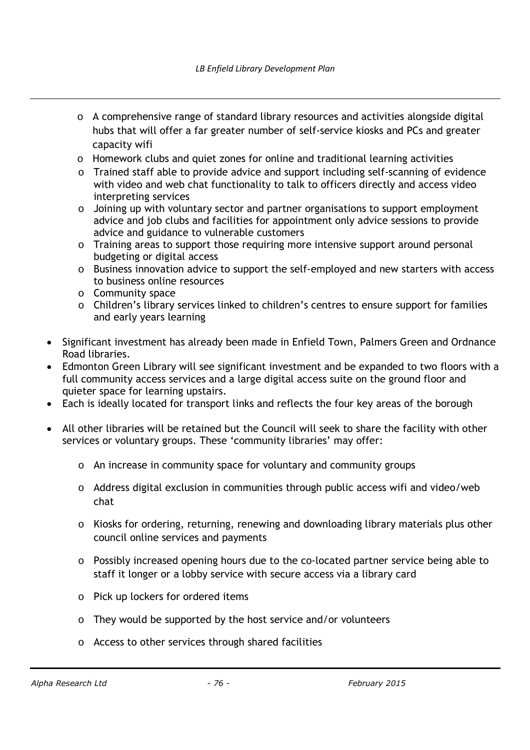- $\circ$  A comprehensive range of standard library resources and activities alongside digital hubs that will offer a far greater number of self-service kiosks and PCs and greater capacity wifi
- o Homework clubs and quiet zones for online and traditional learning activities
- o Trained staff able to provide advice and support including self-scanning of evidence with video and web chat functionality to talk to officers directly and access video interpreting services
- o Joining up with voluntary sector and partner organisations to support employment advice and job clubs and facilities for appointment only advice sessions to provide advice and guidance to vulnerable customers
- $\circ$  Training areas to support those requiring more intensive support around personal budgeting or digital access
- o Business innovation advice to support the self-employed and new starters with access to business online resources
- o Community space
- o Children's library services linked to children's centres to ensure support for families and early years learning
- Significant investment has already been made in Enfield Town, Palmers Green and Ordnance Road libraries.
- Edmonton Green Library will see significant investment and be expanded to two floors with a full community access services and a large digital access suite on the ground floor and quieter space for learning upstairs.
- Each is ideally located for transport links and reflects the four key areas of the borough
- All other libraries will be retained but the Council will seek to share the facility with other services or voluntary groups. These 'community libraries' may offer:
	- o An increase in community space for voluntary and community groups
	- o Address digital exclusion in communities through public access wifi and video/web chat
	- $\circ$  Kiosks for ordering, returning, renewing and downloading library materials plus other council online services and payments
	- o Possibly increased opening hours due to the co-located partner service being able to staff it longer or a lobby service with secure access via a library card
	- o Pick up lockers for ordered items
	- o They would be supported by the host service and/or volunteers
	- o Access to other services through shared facilities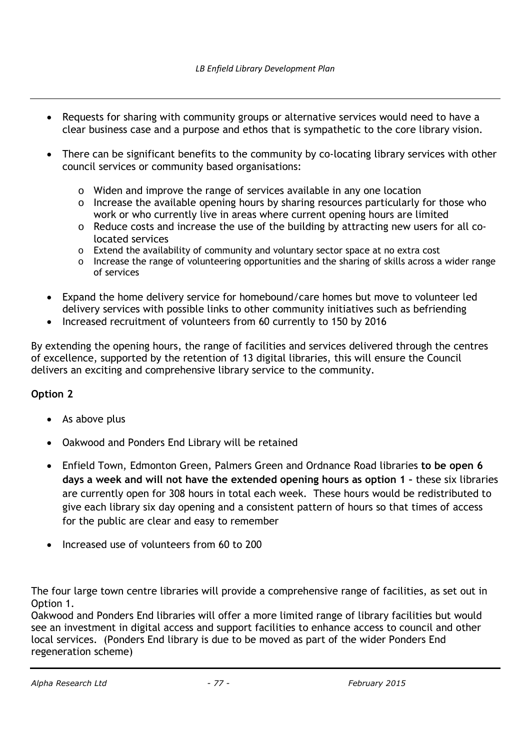- Requests for sharing with community groups or alternative services would need to have a clear business case and a purpose and ethos that is sympathetic to the core library vision.
- There can be significant benefits to the community by co-locating library services with other council services or community based organisations:
	- o Widen and improve the range of services available in any one location
	- o Increase the available opening hours by sharing resources particularly for those who work or who currently live in areas where current opening hours are limited
	- o Reduce costs and increase the use of the building by attracting new users for all colocated services
	- $\circ$  Extend the availability of community and voluntary sector space at no extra cost
	- o Increase the range of volunteering opportunities and the sharing of skills across a wider range of services
- Expand the home delivery service for homebound/care homes but move to volunteer led delivery services with possible links to other community initiatives such as befriending
- Increased recruitment of volunteers from 60 currently to 150 by 2016

By extending the opening hours, the range of facilities and services delivered through the centres of excellence, supported by the retention of 13 digital libraries, this will ensure the Council delivers an exciting and comprehensive library service to the community.

### **Option 2**

- As above plus
- Oakwood and Ponders End Library will be retained
- Enfield Town, Edmonton Green, Palmers Green and Ordnance Road libraries **to be open 6 days a week and will not have the extended opening hours as option 1 –** these six libraries are currently open for 308 hours in total each week. These hours would be redistributed to give each library six day opening and a consistent pattern of hours so that times of access for the public are clear and easy to remember
- Increased use of volunteers from 60 to 200

The four large town centre libraries will provide a comprehensive range of facilities, as set out in Option 1.

Oakwood and Ponders End libraries will offer a more limited range of library facilities but would see an investment in digital access and support facilities to enhance access to council and other local services. (Ponders End library is due to be moved as part of the wider Ponders End regeneration scheme)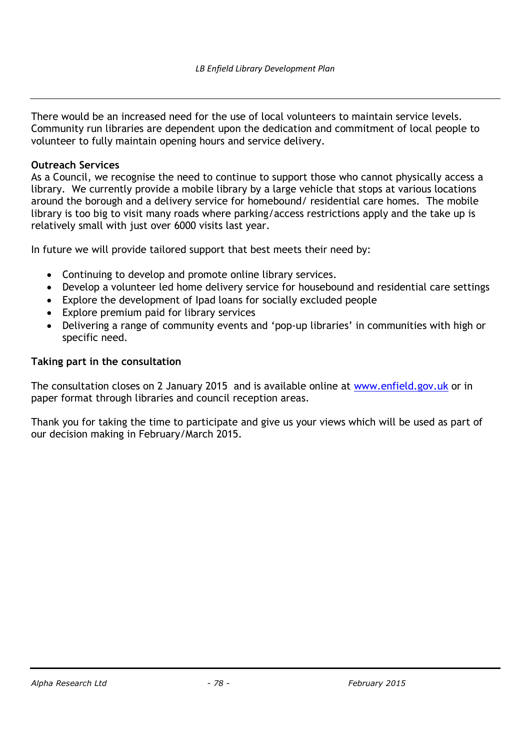There would be an increased need for the use of local volunteers to maintain service levels. Community run libraries are dependent upon the dedication and commitment of local people to volunteer to fully maintain opening hours and service delivery.

### **Outreach Services**

As a Council, we recognise the need to continue to support those who cannot physically access a library. We currently provide a mobile library by a large vehicle that stops at various locations around the borough and a delivery service for homebound/ residential care homes. The mobile library is too big to visit many roads where parking/access restrictions apply and the take up is relatively small with just over 6000 visits last year.

In future we will provide tailored support that best meets their need by:

- Continuing to develop and promote online library services.
- Develop a volunteer led home delivery service for housebound and residential care settings
- Explore the development of Ipad loans for socially excluded people
- Explore premium paid for library services
- Delivering a range of community events and 'pop-up libraries' in communities with high or specific need.

#### **Taking part in the consultation**

The consultation closes on 2 January 2015 and is available online at www.enfield.gov.uk or in paper format through libraries and council reception areas.

Thank you for taking the time to participate and give us your views which will be used as part of our decision making in February/March 2015.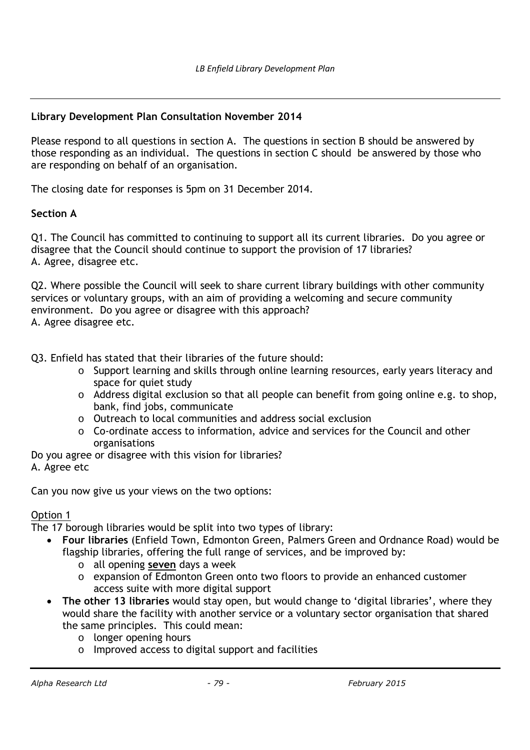# **Library Development Plan Consultation November 2014**

Please respond to all questions in section A. The questions in section B should be answered by those responding as an individual. The questions in section C should be answered by those who are responding on behalf of an organisation.

The closing date for responses is 5pm on 31 December 2014.

## **Section A**

Q1. The Council has committed to continuing to support all its current libraries. Do you agree or disagree that the Council should continue to support the provision of 17 libraries? A. Agree, disagree etc.

Q2. Where possible the Council will seek to share current library buildings with other community services or voluntary groups, with an aim of providing a welcoming and secure community environment. Do you agree or disagree with this approach? A. Agree disagree etc.

Q3. Enfield has stated that their libraries of the future should:

- $\circ$  Support learning and skills through online learning resources, early years literacy and space for quiet study
- o Address digital exclusion so that all people can benefit from going online e.g. to shop, bank, find jobs, communicate
- o Outreach to local communities and address social exclusion
- $\circ$  Co-ordinate access to information, advice and services for the Council and other organisations

Do you agree or disagree with this vision for libraries? A. Agree etc

Can you now give us your views on the two options:

# Option 1

The 17 borough libraries would be split into two types of library:

- **Four libraries** (Enfield Town, Edmonton Green, Palmers Green and Ordnance Road) would be flagship libraries, offering the full range of services, and be improved by:
	- o all opening **seven** days a week
	- o expansion of Edmonton Green onto two floors to provide an enhanced customer access suite with more digital support
- **The other 13 libraries** would stay open, but would change to 'digital libraries', where they would share the facility with another service or a voluntary sector organisation that shared the same principles. This could mean:
	- o longer opening hours
	- o Improved access to digital support and facilities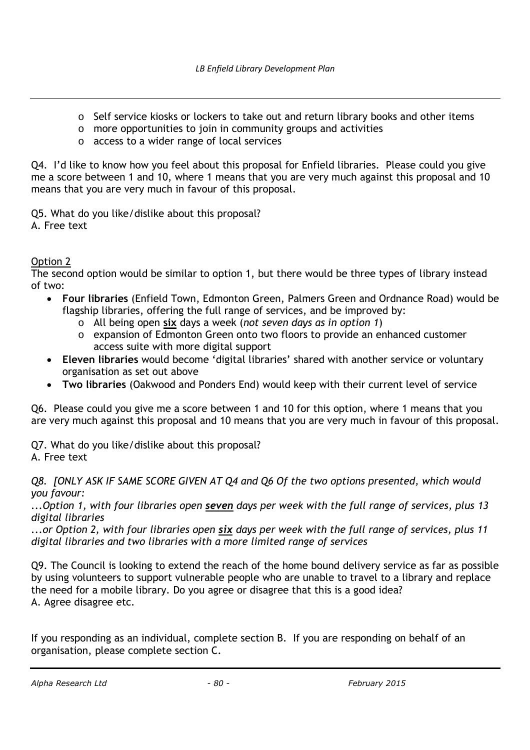- $\circ$  Self service kiosks or lockers to take out and return library books and other items
- o more opportunities to join in community groups and activities
- o access to a wider range of local services

Q4. I'd like to know how you feel about this proposal for Enfield libraries. Please could you give me a score between 1 and 10, where 1 means that you are very much against this proposal and 10 means that you are very much in favour of this proposal.

Q5. What do you like/dislike about this proposal? A. Free text

## Option 2

The second option would be similar to option 1, but there would be three types of library instead of two:

- **Four libraries** (Enfield Town, Edmonton Green, Palmers Green and Ordnance Road) would be flagship libraries, offering the full range of services, and be improved by:
	- o All being open **six** days a week (*not seven days as in option 1*)
	- o expansion of Edmonton Green onto two floors to provide an enhanced customer access suite with more digital support
- **Eleven libraries** would become 'digital libraries' shared with another service or voluntary organisation as set out above
- **Two libraries** (Oakwood and Ponders End) would keep with their current level of service

Q6. Please could you give me a score between 1 and 10 for this option, where 1 means that you are very much against this proposal and 10 means that you are very much in favour of this proposal.

Q7. What do you like/dislike about this proposal? A. Free text

*Q8. [ONLY ASK IF SAME SCORE GIVEN AT Q4 and Q6 Of the two options presented, which would you favour:*

*...Option 1, with four libraries open seven days per week with the full range of services, plus 13 digital libraries*

*...or Option 2, with four libraries open six days per week with the full range of services, plus 11 digital libraries and two libraries with a more limited range of services*

Q9. The Council is looking to extend the reach of the home bound delivery service as far as possible by using volunteers to support vulnerable people who are unable to travel to a library and replace the need for a mobile library. Do you agree or disagree that this is a good idea? A. Agree disagree etc.

If you responding as an individual, complete section B. If you are responding on behalf of an organisation, please complete section C.

*Alpha Research Ltd - 80 - February 2015*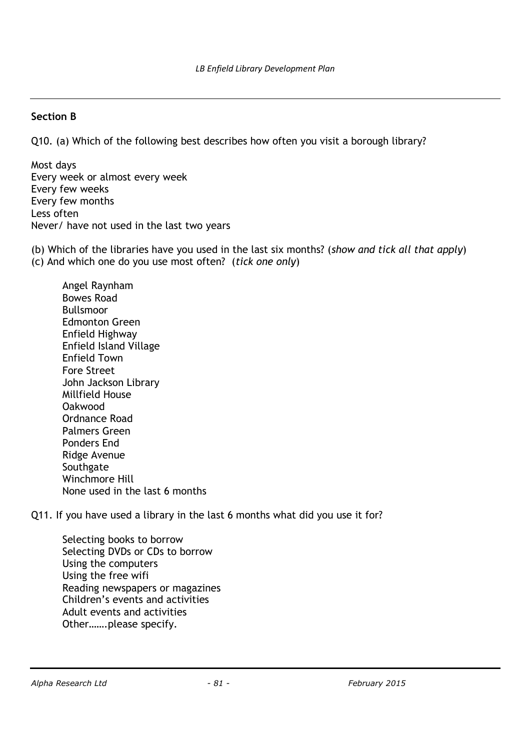## **Section B**

Q10. (a) Which of the following best describes how often you visit a borough library?

Most days Every week or almost every week Every few weeks Every few months Less often Never/ have not used in the last two years

(b) Which of the libraries have you used in the last six months? (*show and tick all that apply*) (c) And which one do you use most often? (*tick one only*)

Angel Raynham Bowes Road Bullsmoor Edmonton Green Enfield Highway Enfield Island Village Enfield Town Fore Street John Jackson Library Millfield House Oakwood Ordnance Road Palmers Green Ponders End Ridge Avenue **Southgate** Winchmore Hill None used in the last 6 months

Q11. If you have used a library in the last 6 months what did you use it for?

Selecting books to borrow Selecting DVDs or CDs to borrow Using the computers Using the free wifi Reading newspapers or magazines Children's events and activities Adult events and activities Other…….please specify.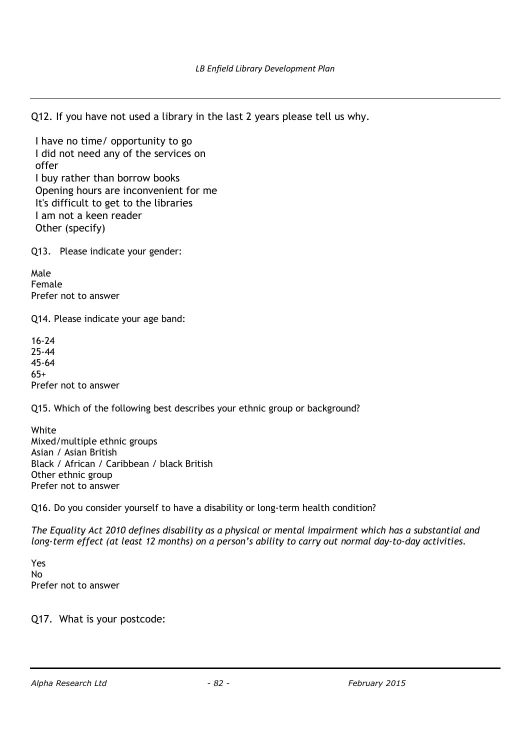Q12. If you have not used a library in the last 2 years please tell us why.

I have no time/ opportunity to go I did not need any of the services on offer I buy rather than borrow books Opening hours are inconvenient for me It's difficult to get to the libraries I am not a keen reader Other (specify)

Q13. Please indicate your gender:

Male Female Prefer not to answer

Q14. Please indicate your age band:

16-24 25-44 45-64 65+ Prefer not to answer

Q15. Which of the following best describes your ethnic group or background?

White Mixed/multiple ethnic groups Asian / Asian British Black / African / Caribbean / black British Other ethnic group Prefer not to answer

Q16. Do you consider yourself to have a disability or long-term health condition?

*The Equality Act 2010 defines disability as a physical or mental impairment which has a substantial and long-term effect (at least 12 months) on a person's ability to carry out normal day-to-day activities.*

Yes No Prefer not to answer

Q17. What is your postcode: